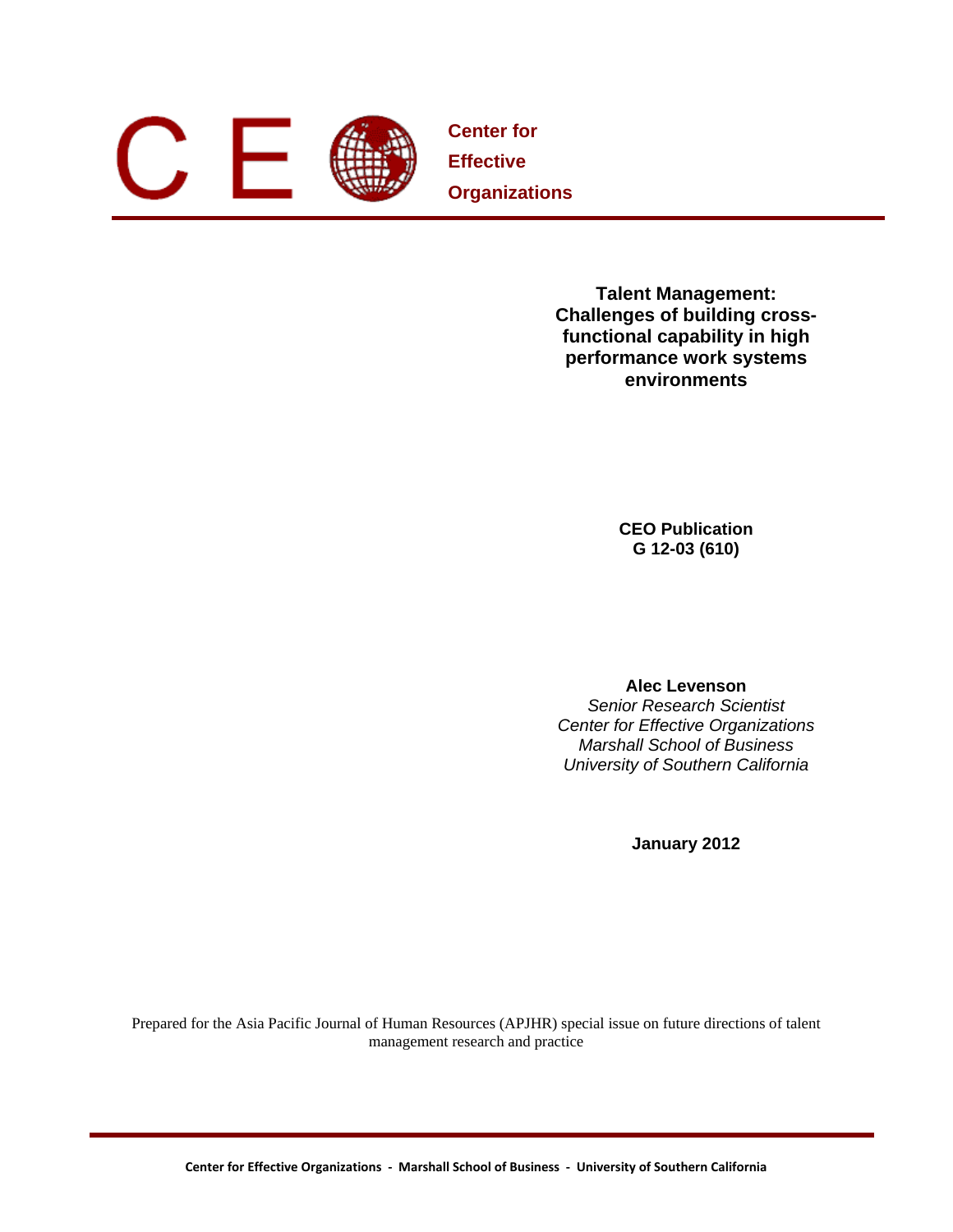

**Center for Effective Organizations** 

> **Talent Management: Challenges of building crossfunctional capability in high performance work systems environments**

> > **CEO Publication G 12-03 (610)**

**Alec Levenson** 

*Senior Research Scientist Center for Effective Organizations Marshall School of Business University of Southern California* 

**January 2012** 

Prepared for the Asia Pacific Journal of Human Resources (APJHR) special issue on future directions of talent management research and practice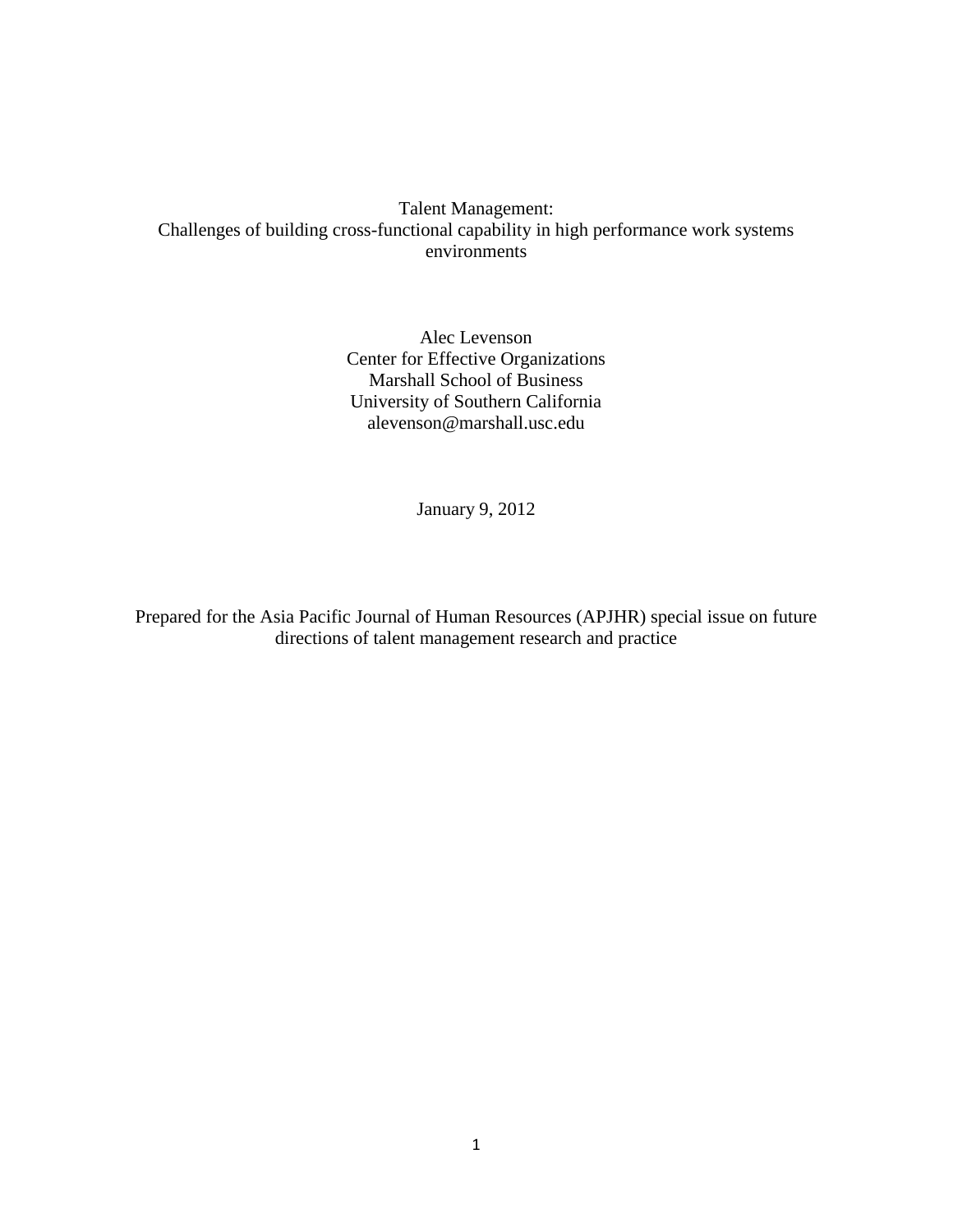# Talent Management: Challenges of building cross-functional capability in high performance work systems environments

Alec Levenson Center for Effective Organizations Marshall School of Business University of Southern California alevenson@marshall.usc.edu

January 9, 2012

Prepared for the Asia Pacific Journal of Human Resources (APJHR) special issue on future directions of talent management research and practice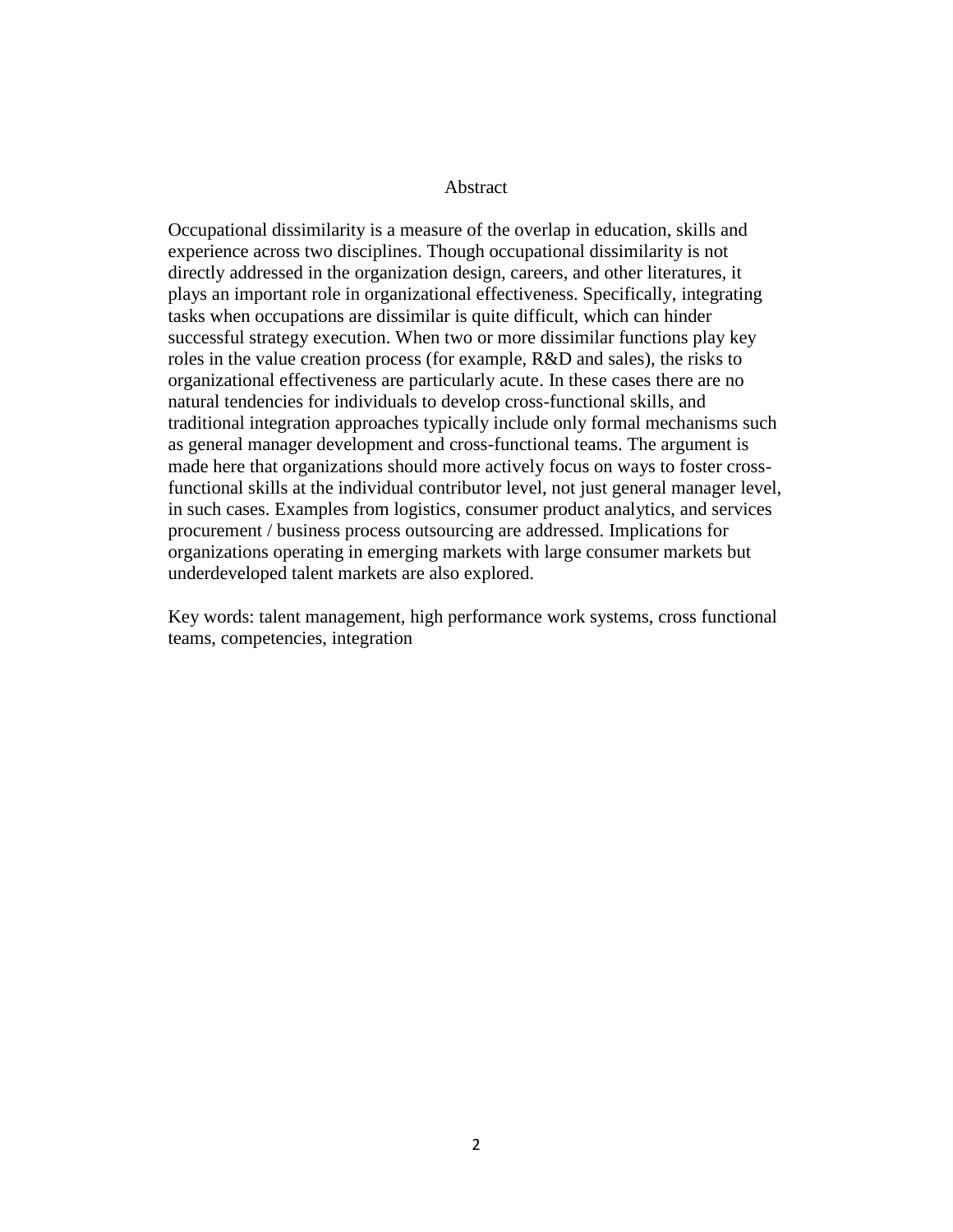# Abstract

Occupational dissimilarity is a measure of the overlap in education, skills and experience across two disciplines. Though occupational dissimilarity is not directly addressed in the organization design, careers, and other literatures, it plays an important role in organizational effectiveness. Specifically, integrating tasks when occupations are dissimilar is quite difficult, which can hinder successful strategy execution. When two or more dissimilar functions play key roles in the value creation process (for example, R&D and sales), the risks to organizational effectiveness are particularly acute. In these cases there are no natural tendencies for individuals to develop cross-functional skills, and traditional integration approaches typically include only formal mechanisms such as general manager development and cross-functional teams. The argument is made here that organizations should more actively focus on ways to foster crossfunctional skills at the individual contributor level, not just general manager level, in such cases. Examples from logistics, consumer product analytics, and services procurement / business process outsourcing are addressed. Implications for organizations operating in emerging markets with large consumer markets but underdeveloped talent markets are also explored.

Key words: talent management, high performance work systems, cross functional teams, competencies, integration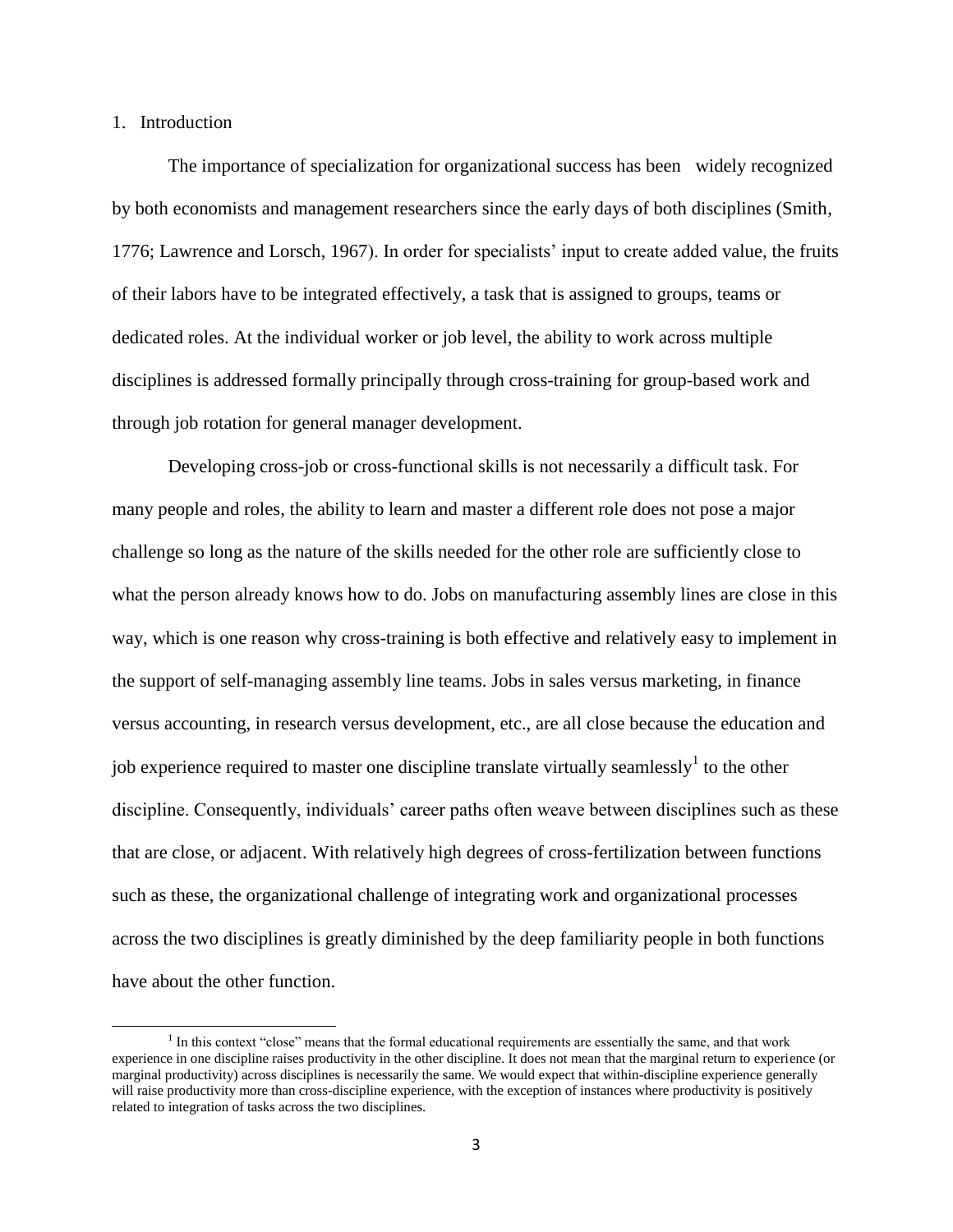# 1. Introduction

 $\overline{\phantom{a}}$ 

The importance of specialization for organizational success has been widely recognized by both economists and management researchers since the early days of both disciplines (Smith, 1776; Lawrence and Lorsch, 1967). In order for specialists' input to create added value, the fruits of their labors have to be integrated effectively, a task that is assigned to groups, teams or dedicated roles. At the individual worker or job level, the ability to work across multiple disciplines is addressed formally principally through cross-training for group-based work and through job rotation for general manager development.

Developing cross-job or cross-functional skills is not necessarily a difficult task. For many people and roles, the ability to learn and master a different role does not pose a major challenge so long as the nature of the skills needed for the other role are sufficiently close to what the person already knows how to do. Jobs on manufacturing assembly lines are close in this way, which is one reason why cross-training is both effective and relatively easy to implement in the support of self-managing assembly line teams. Jobs in sales versus marketing, in finance versus accounting, in research versus development, etc., are all close because the education and job experience required to master one discipline translate virtually seamlessly<sup>1</sup> to the other discipline. Consequently, individuals' career paths often weave between disciplines such as these that are close, or adjacent. With relatively high degrees of cross-fertilization between functions such as these, the organizational challenge of integrating work and organizational processes across the two disciplines is greatly diminished by the deep familiarity people in both functions have about the other function.

<sup>&</sup>lt;sup>1</sup> In this context "close" means that the formal educational requirements are essentially the same, and that work experience in one discipline raises productivity in the other discipline. It does not mean that the marginal return to experience (or marginal productivity) across disciplines is necessarily the same. We would expect that within-discipline experience generally will raise productivity more than cross-discipline experience, with the exception of instances where productivity is positively related to integration of tasks across the two disciplines.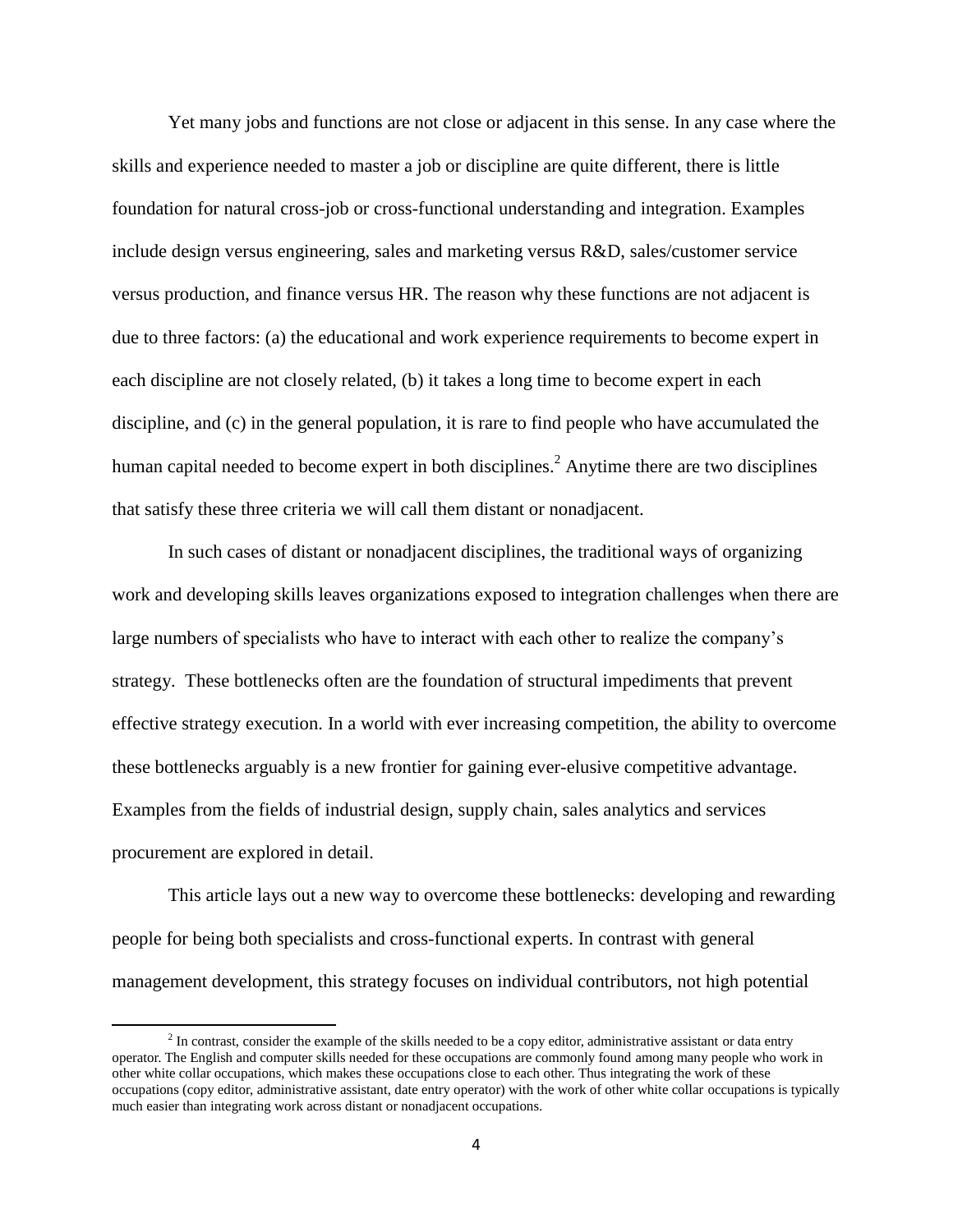Yet many jobs and functions are not close or adjacent in this sense. In any case where the skills and experience needed to master a job or discipline are quite different, there is little foundation for natural cross-job or cross-functional understanding and integration. Examples include design versus engineering, sales and marketing versus R&D, sales/customer service versus production, and finance versus HR. The reason why these functions are not adjacent is due to three factors: (a) the educational and work experience requirements to become expert in each discipline are not closely related, (b) it takes a long time to become expert in each discipline, and (c) in the general population, it is rare to find people who have accumulated the human capital needed to become expert in both disciplines.<sup>2</sup> Anytime there are two disciplines that satisfy these three criteria we will call them distant or nonadjacent.

In such cases of distant or nonadjacent disciplines, the traditional ways of organizing work and developing skills leaves organizations exposed to integration challenges when there are large numbers of specialists who have to interact with each other to realize the company's strategy. These bottlenecks often are the foundation of structural impediments that prevent effective strategy execution. In a world with ever increasing competition, the ability to overcome these bottlenecks arguably is a new frontier for gaining ever-elusive competitive advantage. Examples from the fields of industrial design, supply chain, sales analytics and services procurement are explored in detail.

This article lays out a new way to overcome these bottlenecks: developing and rewarding people for being both specialists and cross-functional experts. In contrast with general management development, this strategy focuses on individual contributors, not high potential

 $\overline{\phantom{a}}$ 

 $2$  In contrast, consider the example of the skills needed to be a copy editor, administrative assistant or data entry operator. The English and computer skills needed for these occupations are commonly found among many people who work in other white collar occupations, which makes these occupations close to each other. Thus integrating the work of these occupations (copy editor, administrative assistant, date entry operator) with the work of other white collar occupations is typically much easier than integrating work across distant or nonadjacent occupations.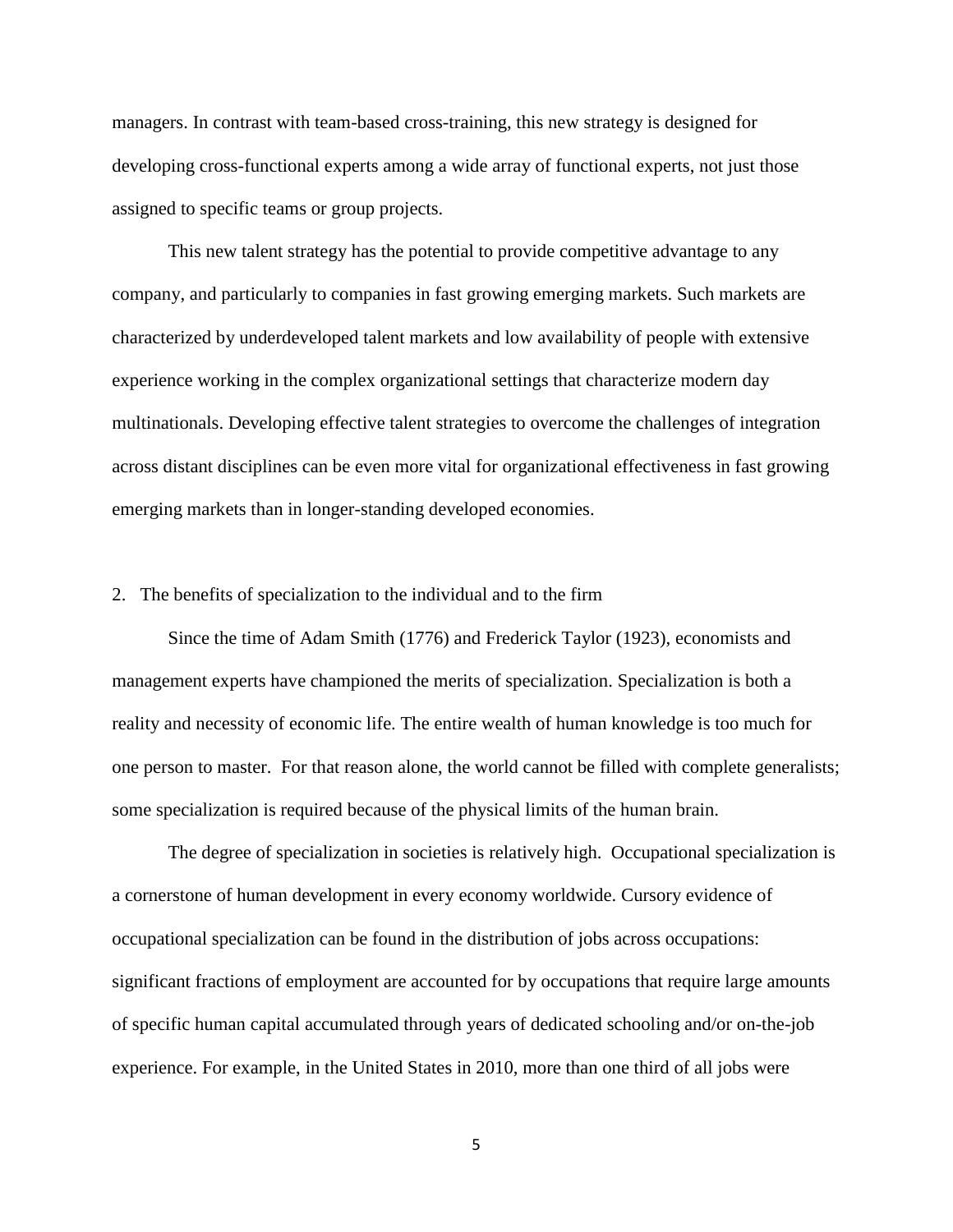managers. In contrast with team-based cross-training, this new strategy is designed for developing cross-functional experts among a wide array of functional experts, not just those assigned to specific teams or group projects.

This new talent strategy has the potential to provide competitive advantage to any company, and particularly to companies in fast growing emerging markets. Such markets are characterized by underdeveloped talent markets and low availability of people with extensive experience working in the complex organizational settings that characterize modern day multinationals. Developing effective talent strategies to overcome the challenges of integration across distant disciplines can be even more vital for organizational effectiveness in fast growing emerging markets than in longer-standing developed economies.

#### 2. The benefits of specialization to the individual and to the firm

Since the time of Adam Smith (1776) and Frederick Taylor (1923), economists and management experts have championed the merits of specialization. Specialization is both a reality and necessity of economic life. The entire wealth of human knowledge is too much for one person to master. For that reason alone, the world cannot be filled with complete generalists; some specialization is required because of the physical limits of the human brain.

The degree of specialization in societies is relatively high. Occupational specialization is a cornerstone of human development in every economy worldwide. Cursory evidence of occupational specialization can be found in the distribution of jobs across occupations: significant fractions of employment are accounted for by occupations that require large amounts of specific human capital accumulated through years of dedicated schooling and/or on-the-job experience. For example, in the United States in 2010, more than one third of all jobs were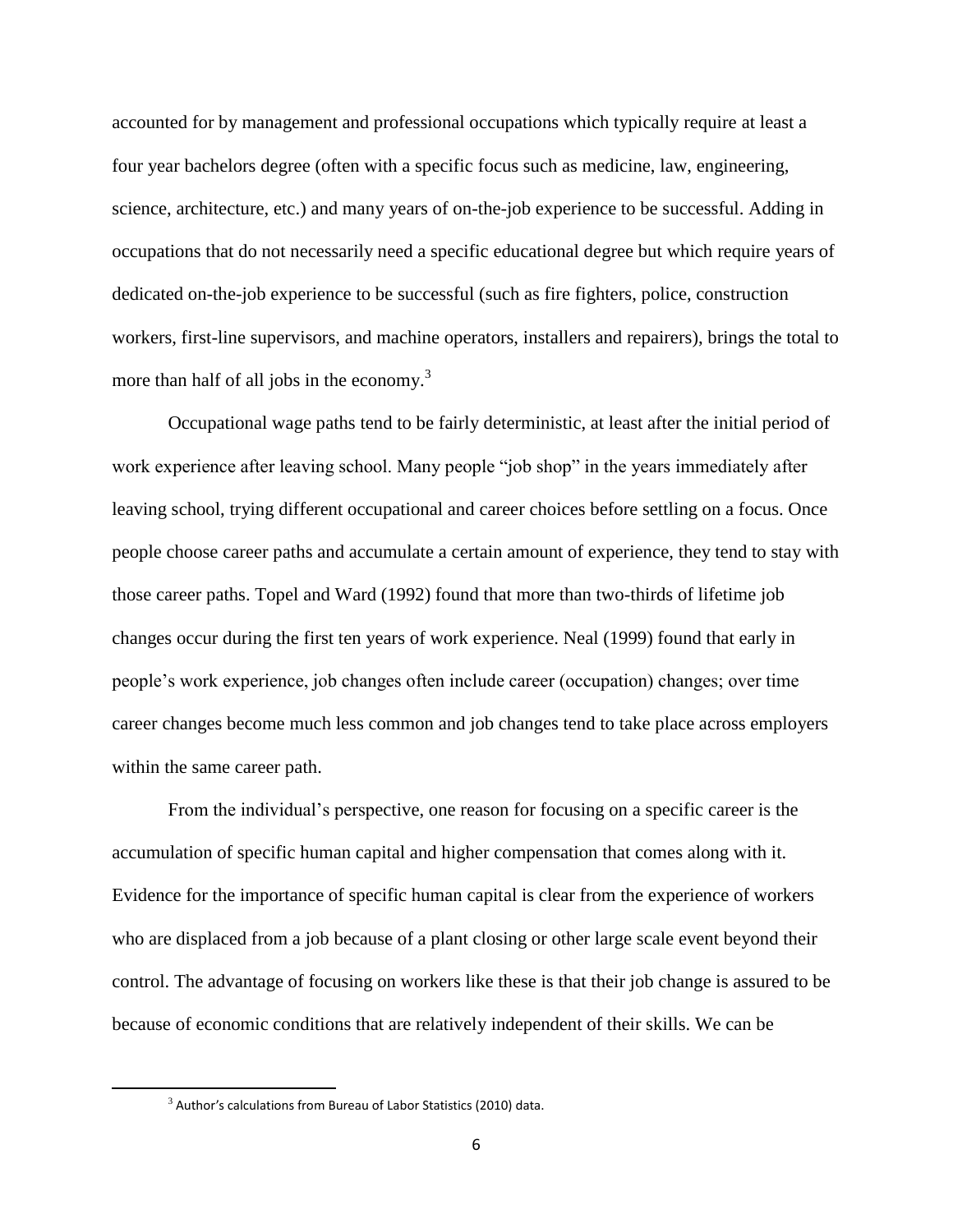accounted for by management and professional occupations which typically require at least a four year bachelors degree (often with a specific focus such as medicine, law, engineering, science, architecture, etc.) and many years of on-the-job experience to be successful. Adding in occupations that do not necessarily need a specific educational degree but which require years of dedicated on-the-job experience to be successful (such as fire fighters, police, construction workers, first-line supervisors, and machine operators, installers and repairers), brings the total to more than half of all jobs in the economy.<sup>3</sup>

Occupational wage paths tend to be fairly deterministic, at least after the initial period of work experience after leaving school. Many people "job shop" in the years immediately after leaving school, trying different occupational and career choices before settling on a focus. Once people choose career paths and accumulate a certain amount of experience, they tend to stay with those career paths. Topel and Ward (1992) found that more than two-thirds of lifetime job changes occur during the first ten years of work experience. Neal (1999) found that early in people's work experience, job changes often include career (occupation) changes; over time career changes become much less common and job changes tend to take place across employers within the same career path.

From the individual's perspective, one reason for focusing on a specific career is the accumulation of specific human capital and higher compensation that comes along with it. Evidence for the importance of specific human capital is clear from the experience of workers who are displaced from a job because of a plant closing or other large scale event beyond their control. The advantage of focusing on workers like these is that their job change is assured to be because of economic conditions that are relatively independent of their skills. We can be

l

 $3$  Author's calculations from Bureau of Labor Statistics (2010) data.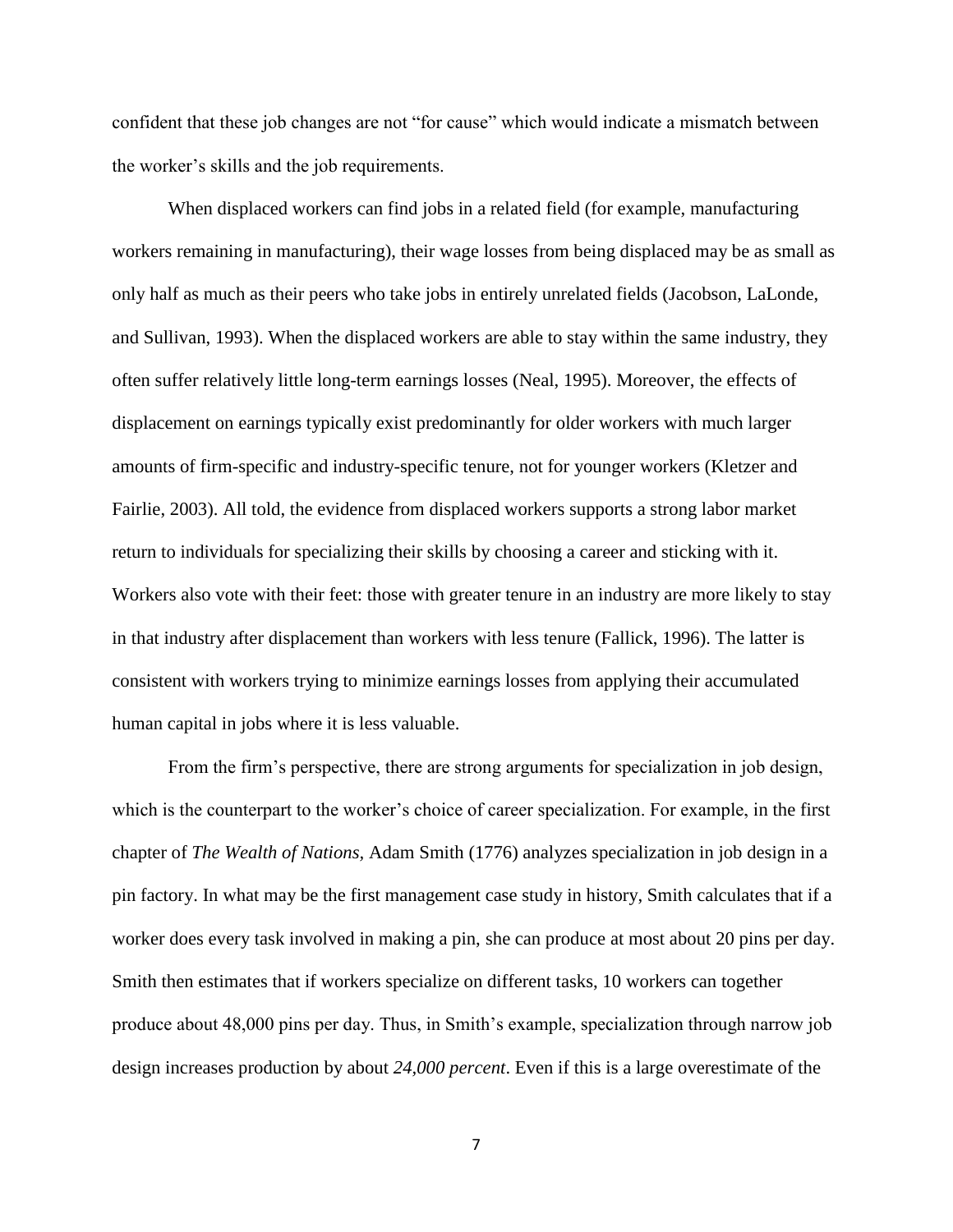confident that these job changes are not "for cause" which would indicate a mismatch between the worker's skills and the job requirements.

When displaced workers can find jobs in a related field (for example, manufacturing workers remaining in manufacturing), their wage losses from being displaced may be as small as only half as much as their peers who take jobs in entirely unrelated fields (Jacobson, LaLonde, and Sullivan, 1993). When the displaced workers are able to stay within the same industry, they often suffer relatively little long-term earnings losses (Neal, 1995). Moreover, the effects of displacement on earnings typically exist predominantly for older workers with much larger amounts of firm-specific and industry-specific tenure, not for younger workers (Kletzer and Fairlie, 2003). All told, the evidence from displaced workers supports a strong labor market return to individuals for specializing their skills by choosing a career and sticking with it. Workers also vote with their feet: those with greater tenure in an industry are more likely to stay in that industry after displacement than workers with less tenure (Fallick, 1996). The latter is consistent with workers trying to minimize earnings losses from applying their accumulated human capital in jobs where it is less valuable.

From the firm's perspective, there are strong arguments for specialization in job design, which is the counterpart to the worker's choice of career specialization. For example, in the first chapter of *The Wealth of Nations,* Adam Smith (1776) analyzes specialization in job design in a pin factory. In what may be the first management case study in history, Smith calculates that if a worker does every task involved in making a pin, she can produce at most about 20 pins per day. Smith then estimates that if workers specialize on different tasks, 10 workers can together produce about 48,000 pins per day. Thus, in Smith's example, specialization through narrow job design increases production by about *24,000 percent*. Even if this is a large overestimate of the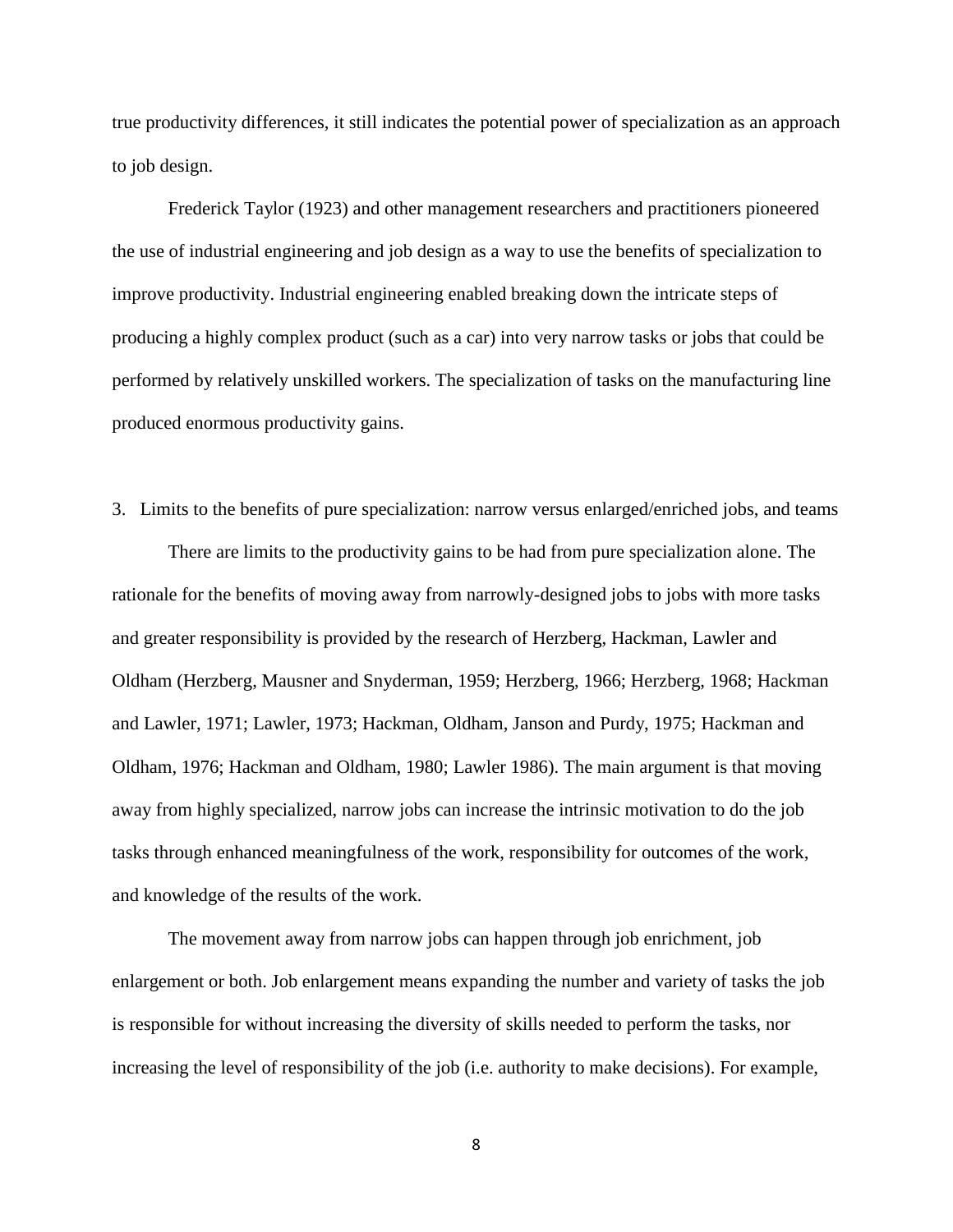true productivity differences, it still indicates the potential power of specialization as an approach to job design.

Frederick Taylor (1923) and other management researchers and practitioners pioneered the use of industrial engineering and job design as a way to use the benefits of specialization to improve productivity. Industrial engineering enabled breaking down the intricate steps of producing a highly complex product (such as a car) into very narrow tasks or jobs that could be performed by relatively unskilled workers. The specialization of tasks on the manufacturing line produced enormous productivity gains.

3. Limits to the benefits of pure specialization: narrow versus enlarged/enriched jobs, and teams

There are limits to the productivity gains to be had from pure specialization alone. The rationale for the benefits of moving away from narrowly-designed jobs to jobs with more tasks and greater responsibility is provided by the research of Herzberg, Hackman, Lawler and Oldham (Herzberg, Mausner and Snyderman, 1959; Herzberg, 1966; Herzberg, 1968; Hackman and Lawler, 1971; Lawler, 1973; Hackman, Oldham, Janson and Purdy, 1975; Hackman and Oldham, 1976; Hackman and Oldham, 1980; Lawler 1986). The main argument is that moving away from highly specialized, narrow jobs can increase the intrinsic motivation to do the job tasks through enhanced meaningfulness of the work, responsibility for outcomes of the work, and knowledge of the results of the work.

The movement away from narrow jobs can happen through job enrichment, job enlargement or both. Job enlargement means expanding the number and variety of tasks the job is responsible for without increasing the diversity of skills needed to perform the tasks, nor increasing the level of responsibility of the job (i.e. authority to make decisions). For example,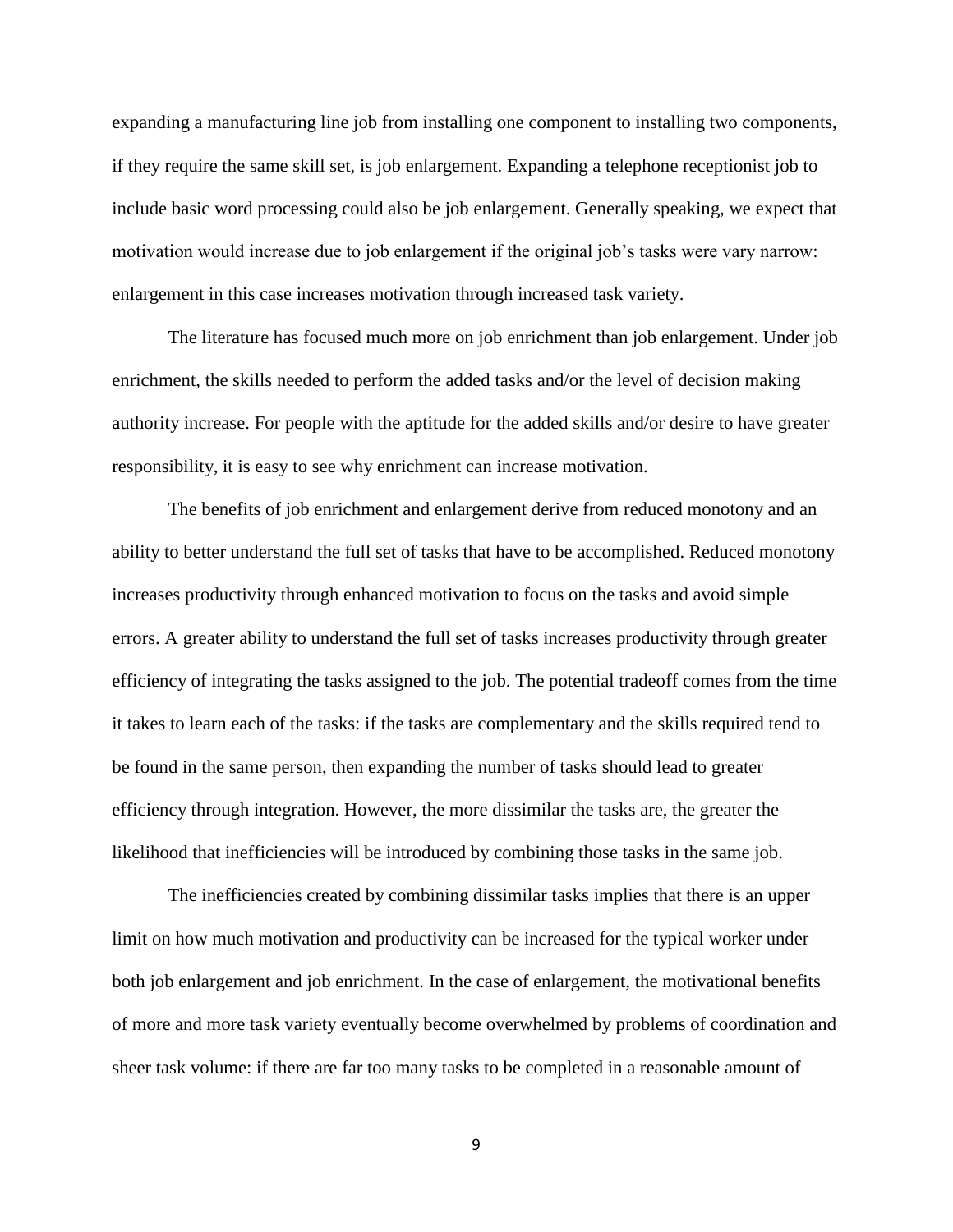expanding a manufacturing line job from installing one component to installing two components, if they require the same skill set, is job enlargement. Expanding a telephone receptionist job to include basic word processing could also be job enlargement. Generally speaking, we expect that motivation would increase due to job enlargement if the original job's tasks were vary narrow: enlargement in this case increases motivation through increased task variety.

The literature has focused much more on job enrichment than job enlargement. Under job enrichment, the skills needed to perform the added tasks and/or the level of decision making authority increase. For people with the aptitude for the added skills and/or desire to have greater responsibility, it is easy to see why enrichment can increase motivation.

The benefits of job enrichment and enlargement derive from reduced monotony and an ability to better understand the full set of tasks that have to be accomplished. Reduced monotony increases productivity through enhanced motivation to focus on the tasks and avoid simple errors. A greater ability to understand the full set of tasks increases productivity through greater efficiency of integrating the tasks assigned to the job. The potential tradeoff comes from the time it takes to learn each of the tasks: if the tasks are complementary and the skills required tend to be found in the same person, then expanding the number of tasks should lead to greater efficiency through integration. However, the more dissimilar the tasks are, the greater the likelihood that inefficiencies will be introduced by combining those tasks in the same job.

The inefficiencies created by combining dissimilar tasks implies that there is an upper limit on how much motivation and productivity can be increased for the typical worker under both job enlargement and job enrichment. In the case of enlargement, the motivational benefits of more and more task variety eventually become overwhelmed by problems of coordination and sheer task volume: if there are far too many tasks to be completed in a reasonable amount of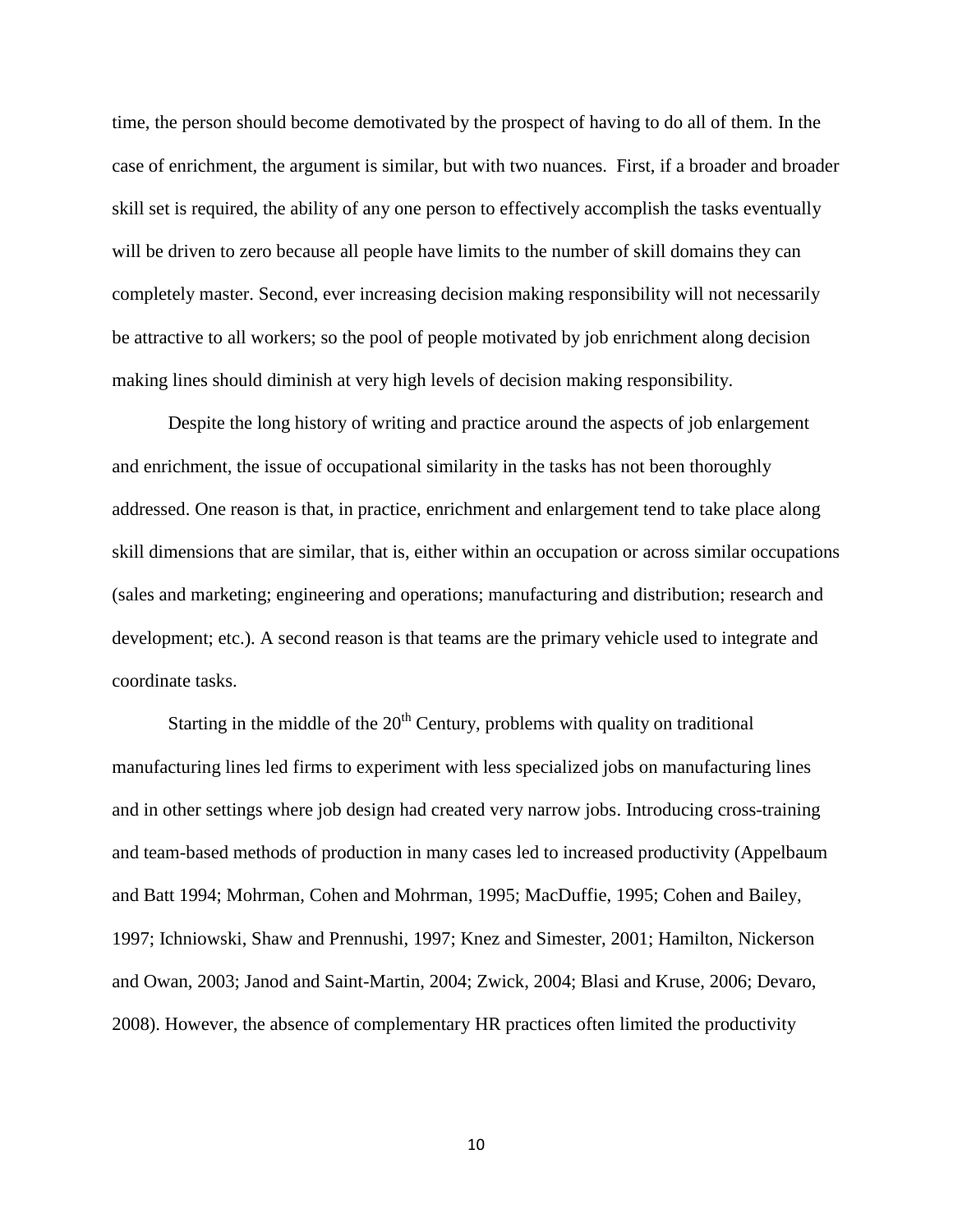time, the person should become demotivated by the prospect of having to do all of them. In the case of enrichment, the argument is similar, but with two nuances. First, if a broader and broader skill set is required, the ability of any one person to effectively accomplish the tasks eventually will be driven to zero because all people have limits to the number of skill domains they can completely master. Second, ever increasing decision making responsibility will not necessarily be attractive to all workers; so the pool of people motivated by job enrichment along decision making lines should diminish at very high levels of decision making responsibility.

Despite the long history of writing and practice around the aspects of job enlargement and enrichment, the issue of occupational similarity in the tasks has not been thoroughly addressed. One reason is that, in practice, enrichment and enlargement tend to take place along skill dimensions that are similar, that is, either within an occupation or across similar occupations (sales and marketing; engineering and operations; manufacturing and distribution; research and development; etc.). A second reason is that teams are the primary vehicle used to integrate and coordinate tasks.

Starting in the middle of the  $20<sup>th</sup>$  Century, problems with quality on traditional manufacturing lines led firms to experiment with less specialized jobs on manufacturing lines and in other settings where job design had created very narrow jobs. Introducing cross-training and team-based methods of production in many cases led to increased productivity (Appelbaum and Batt 1994; Mohrman, Cohen and Mohrman, 1995; MacDuffie, 1995; Cohen and Bailey, 1997; Ichniowski, Shaw and Prennushi, 1997; Knez and Simester, 2001; Hamilton, Nickerson and Owan, 2003; Janod and Saint-Martin, 2004; Zwick, 2004; Blasi and Kruse, 2006; Devaro, 2008). However, the absence of complementary HR practices often limited the productivity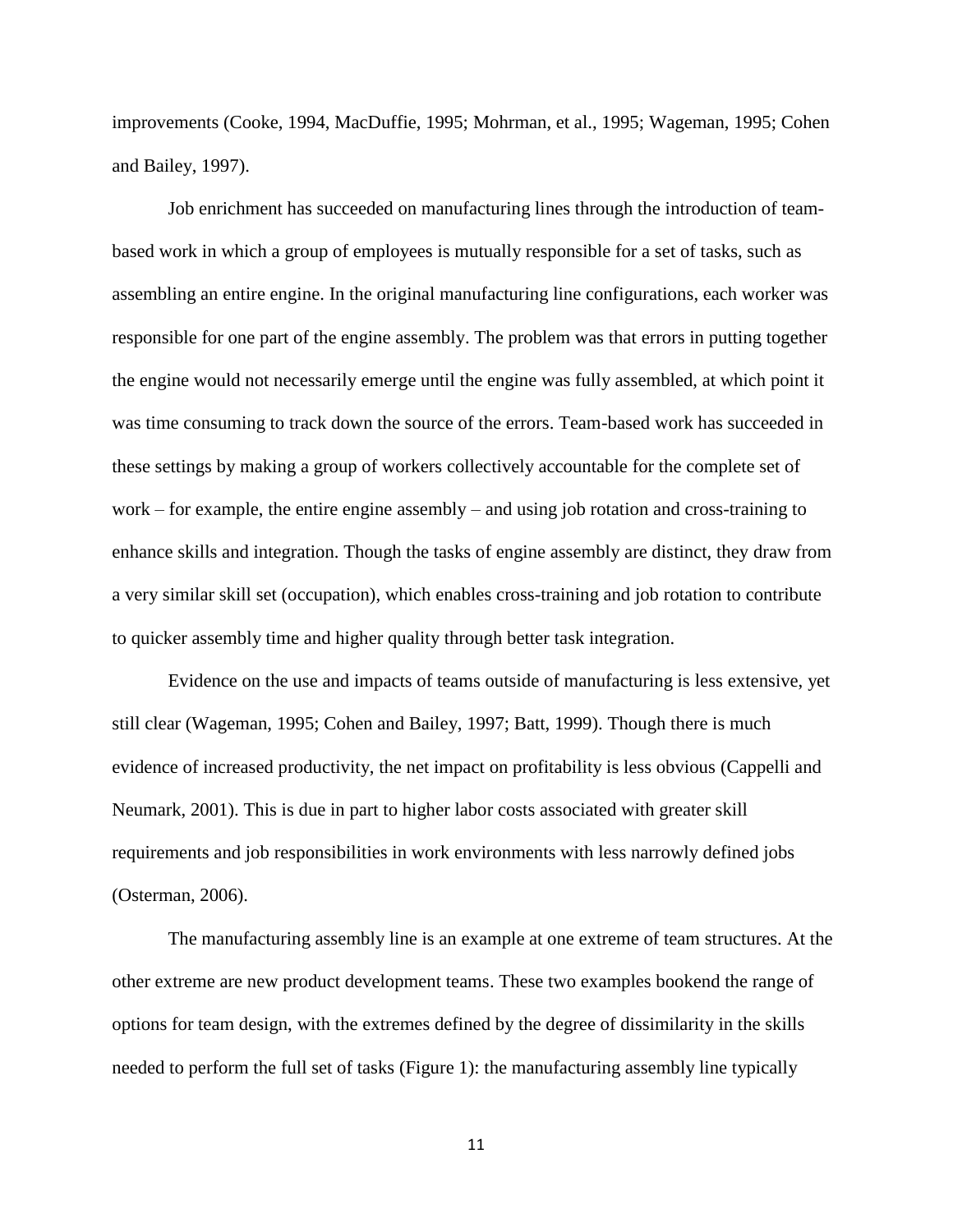improvements (Cooke, 1994, MacDuffie, 1995; Mohrman, et al., 1995; Wageman, 1995; Cohen and Bailey, 1997).

Job enrichment has succeeded on manufacturing lines through the introduction of teambased work in which a group of employees is mutually responsible for a set of tasks, such as assembling an entire engine. In the original manufacturing line configurations, each worker was responsible for one part of the engine assembly. The problem was that errors in putting together the engine would not necessarily emerge until the engine was fully assembled, at which point it was time consuming to track down the source of the errors. Team-based work has succeeded in these settings by making a group of workers collectively accountable for the complete set of work – for example, the entire engine assembly – and using job rotation and cross-training to enhance skills and integration. Though the tasks of engine assembly are distinct, they draw from a very similar skill set (occupation), which enables cross-training and job rotation to contribute to quicker assembly time and higher quality through better task integration.

Evidence on the use and impacts of teams outside of manufacturing is less extensive, yet still clear (Wageman, 1995; Cohen and Bailey, 1997; Batt, 1999). Though there is much evidence of increased productivity, the net impact on profitability is less obvious (Cappelli and Neumark, 2001). This is due in part to higher labor costs associated with greater skill requirements and job responsibilities in work environments with less narrowly defined jobs (Osterman, 2006).

The manufacturing assembly line is an example at one extreme of team structures. At the other extreme are new product development teams. These two examples bookend the range of options for team design, with the extremes defined by the degree of dissimilarity in the skills needed to perform the full set of tasks (Figure 1): the manufacturing assembly line typically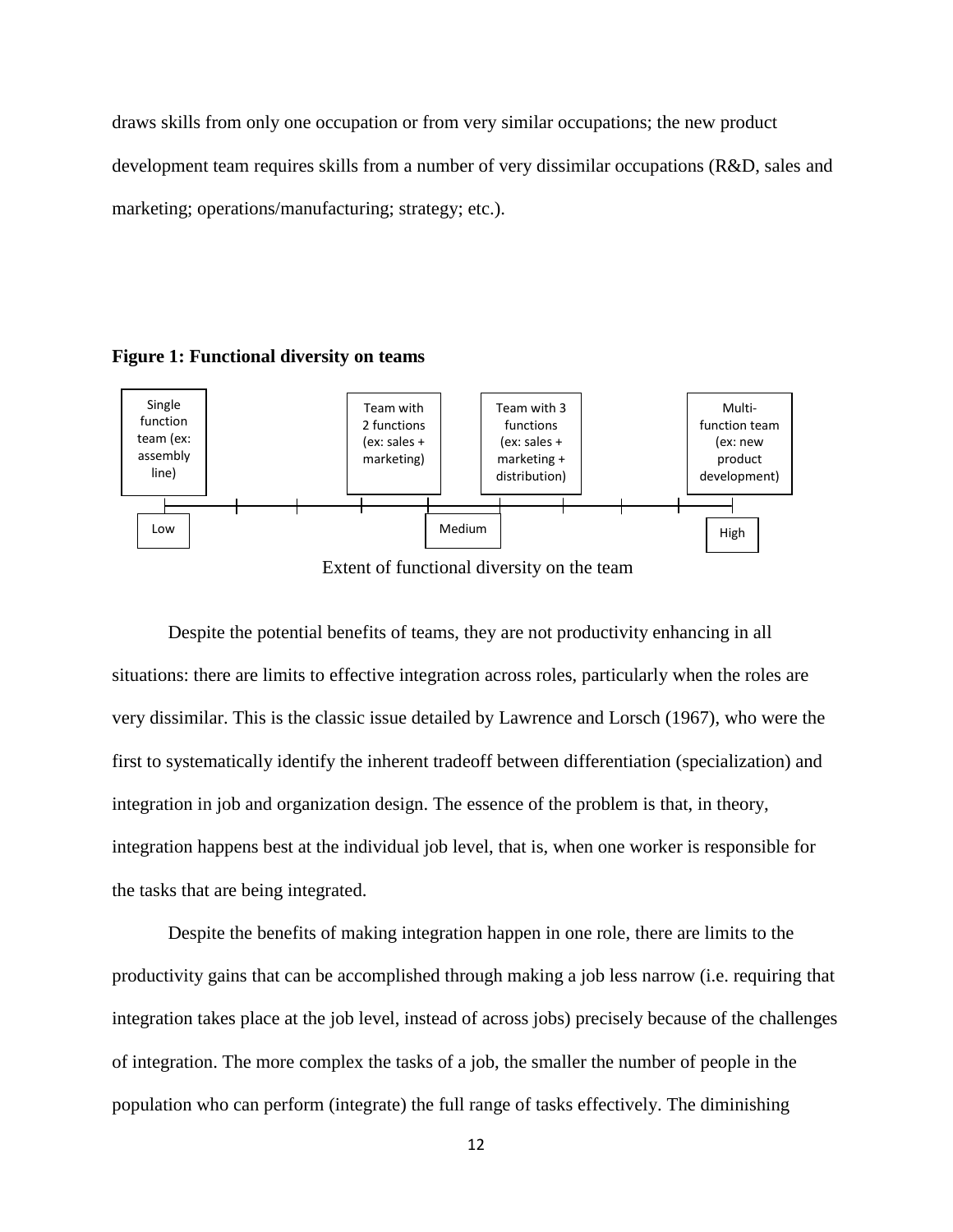draws skills from only one occupation or from very similar occupations; the new product development team requires skills from a number of very dissimilar occupations (R&D, sales and marketing; operations/manufacturing; strategy; etc.).



**Figure 1: Functional diversity on teams**

Extent of functional diversity on the team

Despite the potential benefits of teams, they are not productivity enhancing in all situations: there are limits to effective integration across roles, particularly when the roles are very dissimilar. This is the classic issue detailed by Lawrence and Lorsch (1967), who were the first to systematically identify the inherent tradeoff between differentiation (specialization) and integration in job and organization design. The essence of the problem is that, in theory, integration happens best at the individual job level, that is, when one worker is responsible for the tasks that are being integrated.

Despite the benefits of making integration happen in one role, there are limits to the productivity gains that can be accomplished through making a job less narrow (i.e. requiring that integration takes place at the job level, instead of across jobs) precisely because of the challenges of integration. The more complex the tasks of a job, the smaller the number of people in the population who can perform (integrate) the full range of tasks effectively. The diminishing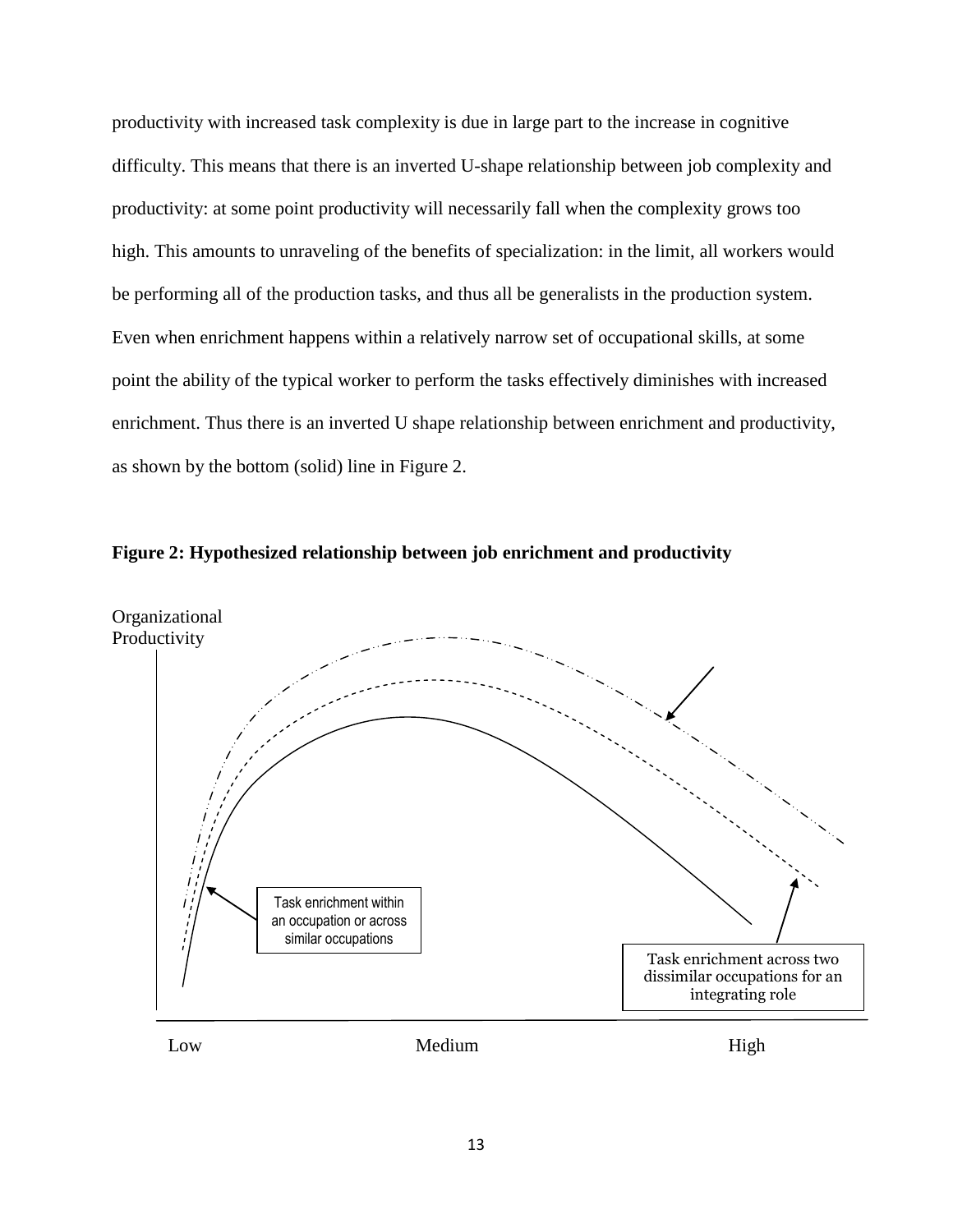productivity with increased task complexity is due in large part to the increase in cognitive difficulty. This means that there is an inverted U-shape relationship between job complexity and productivity: at some point productivity will necessarily fall when the complexity grows too high. This amounts to unraveling of the benefits of specialization: in the limit, all workers would be performing all of the production tasks, and thus all be generalists in the production system. Even when enrichment happens within a relatively narrow set of occupational skills, at some point the ability of the typical worker to perform the tasks effectively diminishes with increased enrichment. Thus there is an inverted U shape relationship between enrichment and productivity, as shown by the bottom (solid) line in Figure 2.



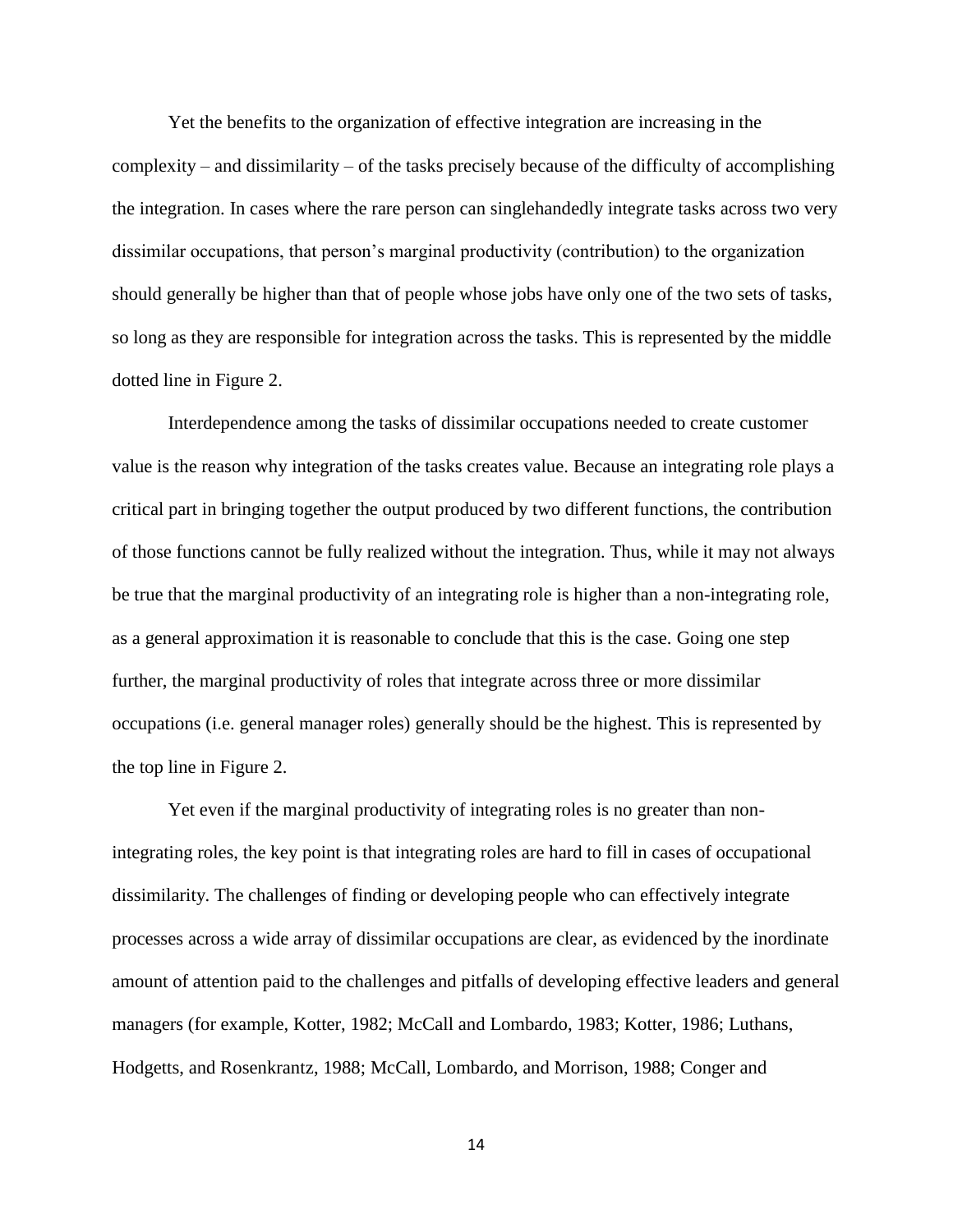Yet the benefits to the organization of effective integration are increasing in the complexity – and dissimilarity – of the tasks precisely because of the difficulty of accomplishing the integration. In cases where the rare person can singlehandedly integrate tasks across two very dissimilar occupations, that person's marginal productivity (contribution) to the organization should generally be higher than that of people whose jobs have only one of the two sets of tasks, so long as they are responsible for integration across the tasks. This is represented by the middle dotted line in Figure 2.

Interdependence among the tasks of dissimilar occupations needed to create customer value is the reason why integration of the tasks creates value. Because an integrating role plays a critical part in bringing together the output produced by two different functions, the contribution of those functions cannot be fully realized without the integration. Thus, while it may not always be true that the marginal productivity of an integrating role is higher than a non-integrating role, as a general approximation it is reasonable to conclude that this is the case. Going one step further, the marginal productivity of roles that integrate across three or more dissimilar occupations (i.e. general manager roles) generally should be the highest. This is represented by the top line in Figure 2.

Yet even if the marginal productivity of integrating roles is no greater than nonintegrating roles, the key point is that integrating roles are hard to fill in cases of occupational dissimilarity. The challenges of finding or developing people who can effectively integrate processes across a wide array of dissimilar occupations are clear, as evidenced by the inordinate amount of attention paid to the challenges and pitfalls of developing effective leaders and general managers (for example, Kotter, 1982; McCall and Lombardo, 1983; Kotter, 1986; Luthans, Hodgetts, and Rosenkrantz, 1988; McCall, Lombardo, and Morrison, 1988; Conger and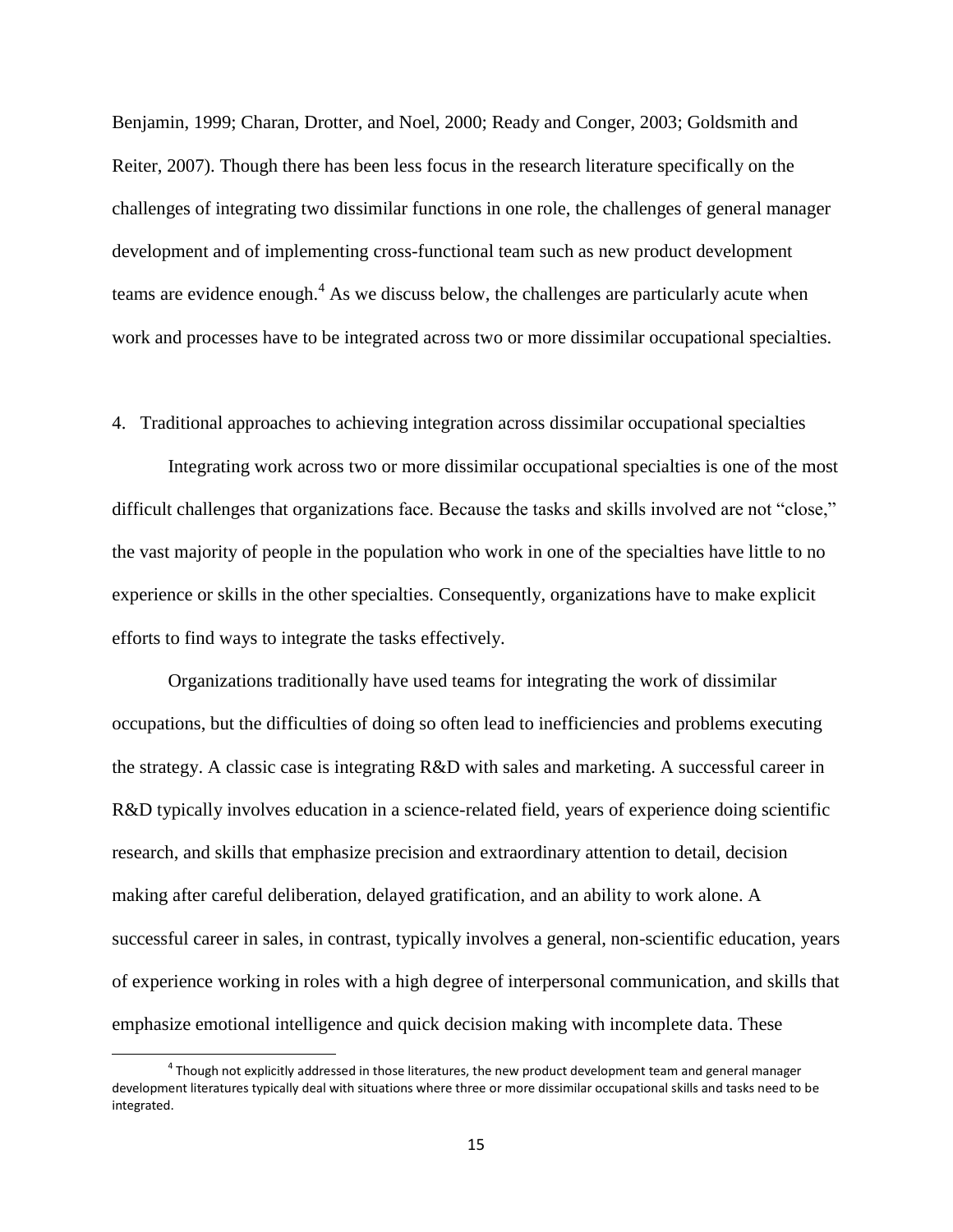Benjamin, 1999; Charan, Drotter, and Noel, 2000; Ready and Conger, 2003; Goldsmith and Reiter, 2007). Though there has been less focus in the research literature specifically on the challenges of integrating two dissimilar functions in one role, the challenges of general manager development and of implementing cross-functional team such as new product development teams are evidence enough.<sup>4</sup> As we discuss below, the challenges are particularly acute when work and processes have to be integrated across two or more dissimilar occupational specialties.

# 4. Traditional approaches to achieving integration across dissimilar occupational specialties

Integrating work across two or more dissimilar occupational specialties is one of the most difficult challenges that organizations face. Because the tasks and skills involved are not "close," the vast majority of people in the population who work in one of the specialties have little to no experience or skills in the other specialties. Consequently, organizations have to make explicit efforts to find ways to integrate the tasks effectively.

Organizations traditionally have used teams for integrating the work of dissimilar occupations, but the difficulties of doing so often lead to inefficiencies and problems executing the strategy. A classic case is integrating R&D with sales and marketing. A successful career in R&D typically involves education in a science-related field, years of experience doing scientific research, and skills that emphasize precision and extraordinary attention to detail, decision making after careful deliberation, delayed gratification, and an ability to work alone. A successful career in sales, in contrast, typically involves a general, non-scientific education, years of experience working in roles with a high degree of interpersonal communication, and skills that emphasize emotional intelligence and quick decision making with incomplete data. These

 $\overline{\phantom{a}}$ 

<sup>&</sup>lt;sup>4</sup> Though not explicitly addressed in those literatures, the new product development team and general manager development literatures typically deal with situations where three or more dissimilar occupational skills and tasks need to be integrated.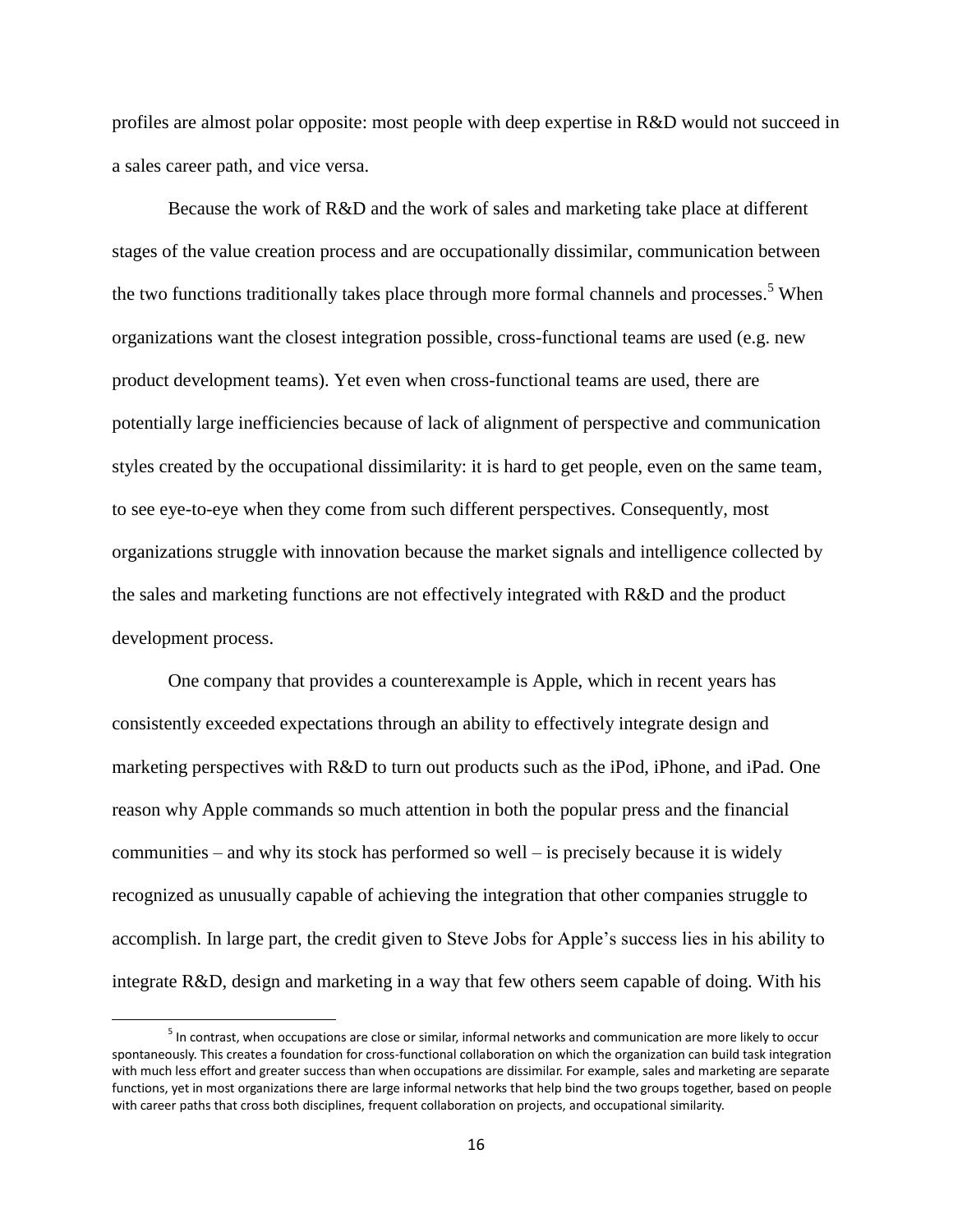profiles are almost polar opposite: most people with deep expertise in R&D would not succeed in a sales career path, and vice versa.

Because the work of R&D and the work of sales and marketing take place at different stages of the value creation process and are occupationally dissimilar, communication between the two functions traditionally takes place through more formal channels and processes.<sup>5</sup> When organizations want the closest integration possible, cross-functional teams are used (e.g. new product development teams). Yet even when cross-functional teams are used, there are potentially large inefficiencies because of lack of alignment of perspective and communication styles created by the occupational dissimilarity: it is hard to get people, even on the same team, to see eye-to-eye when they come from such different perspectives. Consequently, most organizations struggle with innovation because the market signals and intelligence collected by the sales and marketing functions are not effectively integrated with R&D and the product development process.

One company that provides a counterexample is Apple, which in recent years has consistently exceeded expectations through an ability to effectively integrate design and marketing perspectives with R&D to turn out products such as the iPod, iPhone, and iPad. One reason why Apple commands so much attention in both the popular press and the financial communities – and why its stock has performed so well – is precisely because it is widely recognized as unusually capable of achieving the integration that other companies struggle to accomplish. In large part, the credit given to Steve Jobs for Apple's success lies in his ability to integrate R&D, design and marketing in a way that few others seem capable of doing. With his

 $\overline{a}$ 

<sup>&</sup>lt;sup>5</sup> In contrast, when occupations are close or similar, informal networks and communication are more likely to occur spontaneously. This creates a foundation for cross-functional collaboration on which the organization can build task integration with much less effort and greater success than when occupations are dissimilar. For example, sales and marketing are separate functions, yet in most organizations there are large informal networks that help bind the two groups together, based on people with career paths that cross both disciplines, frequent collaboration on projects, and occupational similarity.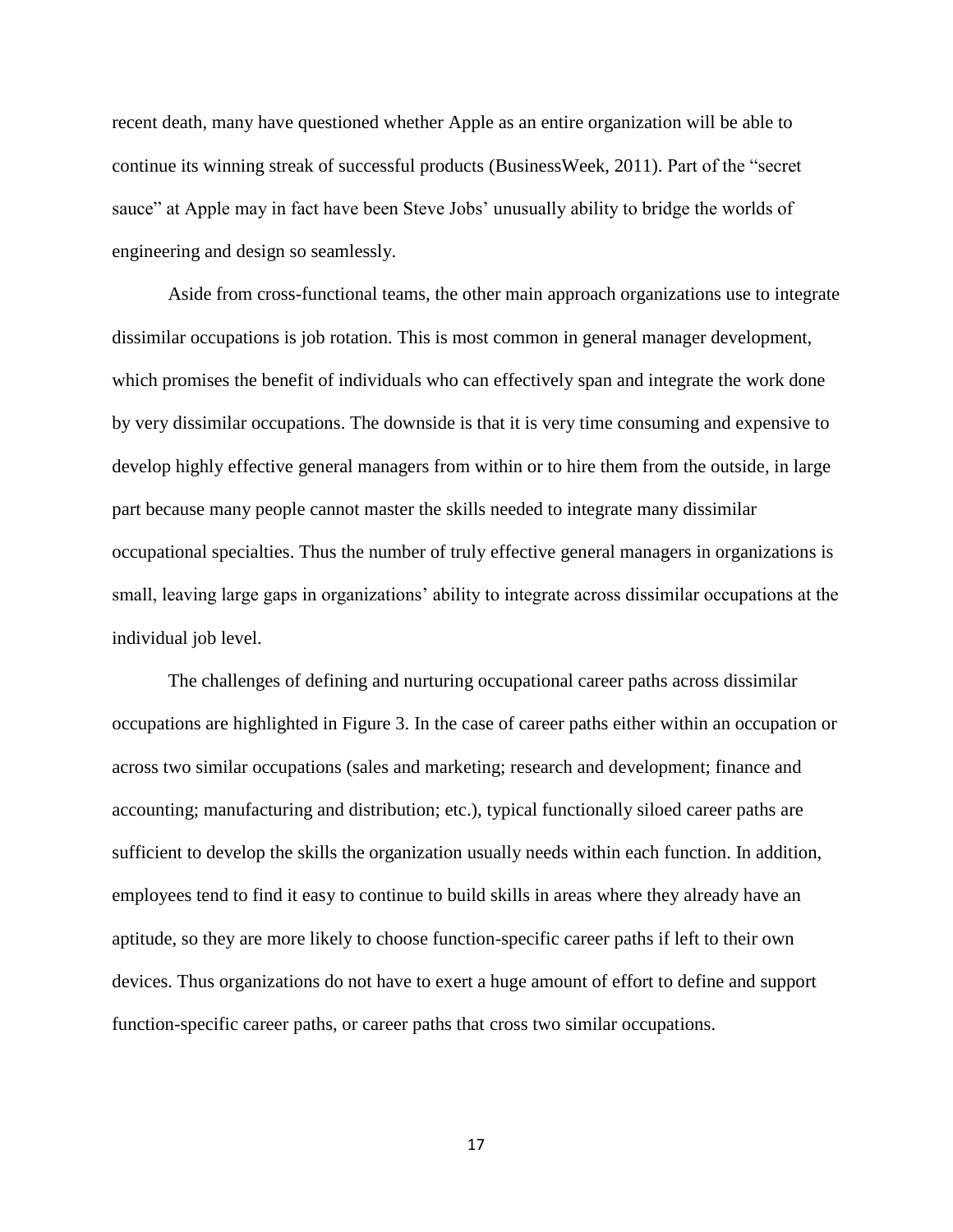recent death, many have questioned whether Apple as an entire organization will be able to continue its winning streak of successful products (BusinessWeek, 2011). Part of the "secret sauce" at Apple may in fact have been Steve Jobs' unusually ability to bridge the worlds of engineering and design so seamlessly.

Aside from cross-functional teams, the other main approach organizations use to integrate dissimilar occupations is job rotation. This is most common in general manager development, which promises the benefit of individuals who can effectively span and integrate the work done by very dissimilar occupations. The downside is that it is very time consuming and expensive to develop highly effective general managers from within or to hire them from the outside, in large part because many people cannot master the skills needed to integrate many dissimilar occupational specialties. Thus the number of truly effective general managers in organizations is small, leaving large gaps in organizations' ability to integrate across dissimilar occupations at the individual job level.

The challenges of defining and nurturing occupational career paths across dissimilar occupations are highlighted in Figure 3. In the case of career paths either within an occupation or across two similar occupations (sales and marketing; research and development; finance and accounting; manufacturing and distribution; etc.), typical functionally siloed career paths are sufficient to develop the skills the organization usually needs within each function. In addition, employees tend to find it easy to continue to build skills in areas where they already have an aptitude, so they are more likely to choose function-specific career paths if left to their own devices. Thus organizations do not have to exert a huge amount of effort to define and support function-specific career paths, or career paths that cross two similar occupations.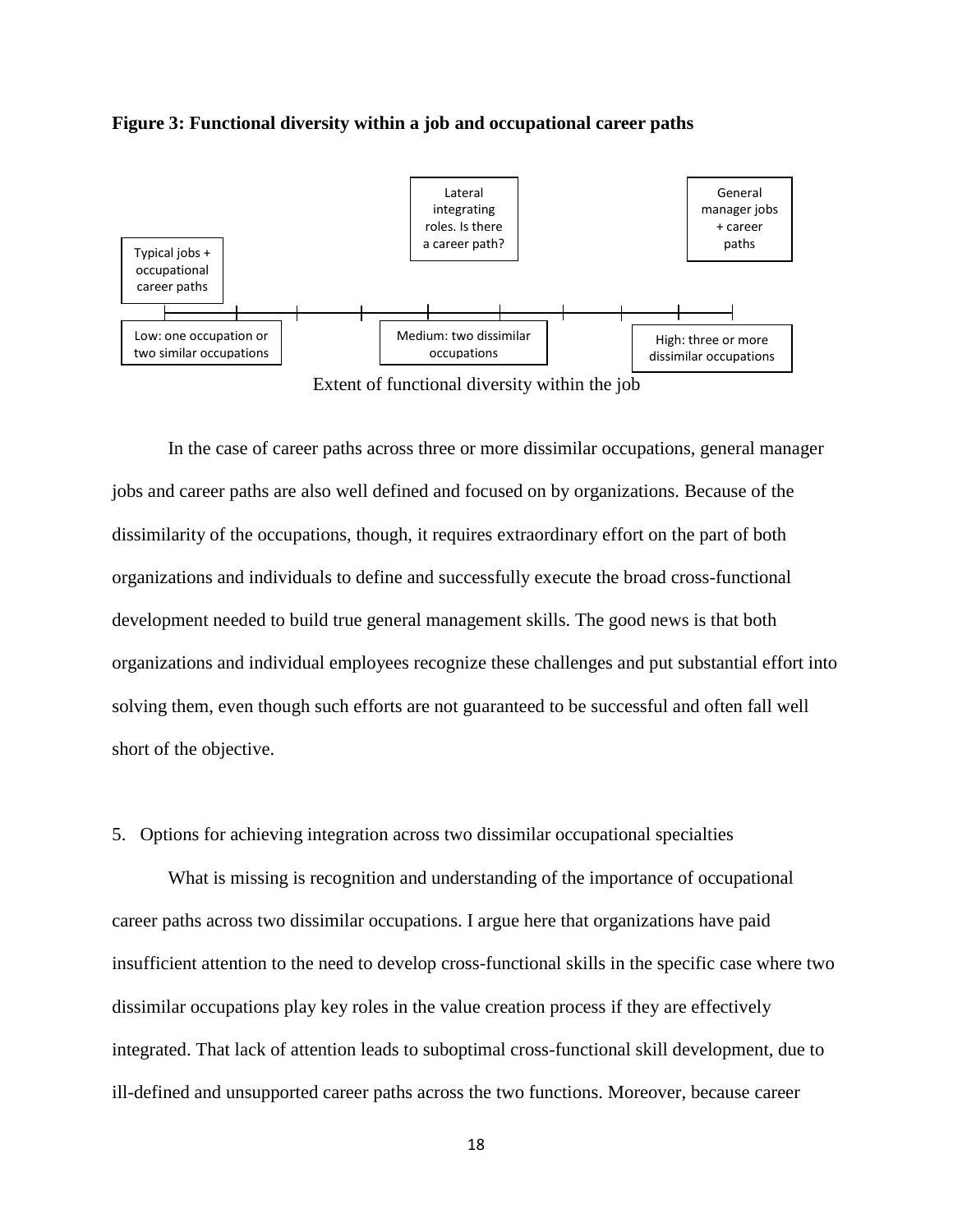



Extent of functional diversity within the job

In the case of career paths across three or more dissimilar occupations, general manager jobs and career paths are also well defined and focused on by organizations. Because of the dissimilarity of the occupations, though, it requires extraordinary effort on the part of both organizations and individuals to define and successfully execute the broad cross-functional development needed to build true general management skills. The good news is that both organizations and individual employees recognize these challenges and put substantial effort into solving them, even though such efforts are not guaranteed to be successful and often fall well short of the objective.

5. Options for achieving integration across two dissimilar occupational specialties

What is missing is recognition and understanding of the importance of occupational career paths across two dissimilar occupations. I argue here that organizations have paid insufficient attention to the need to develop cross-functional skills in the specific case where two dissimilar occupations play key roles in the value creation process if they are effectively integrated. That lack of attention leads to suboptimal cross-functional skill development, due to ill-defined and unsupported career paths across the two functions. Moreover, because career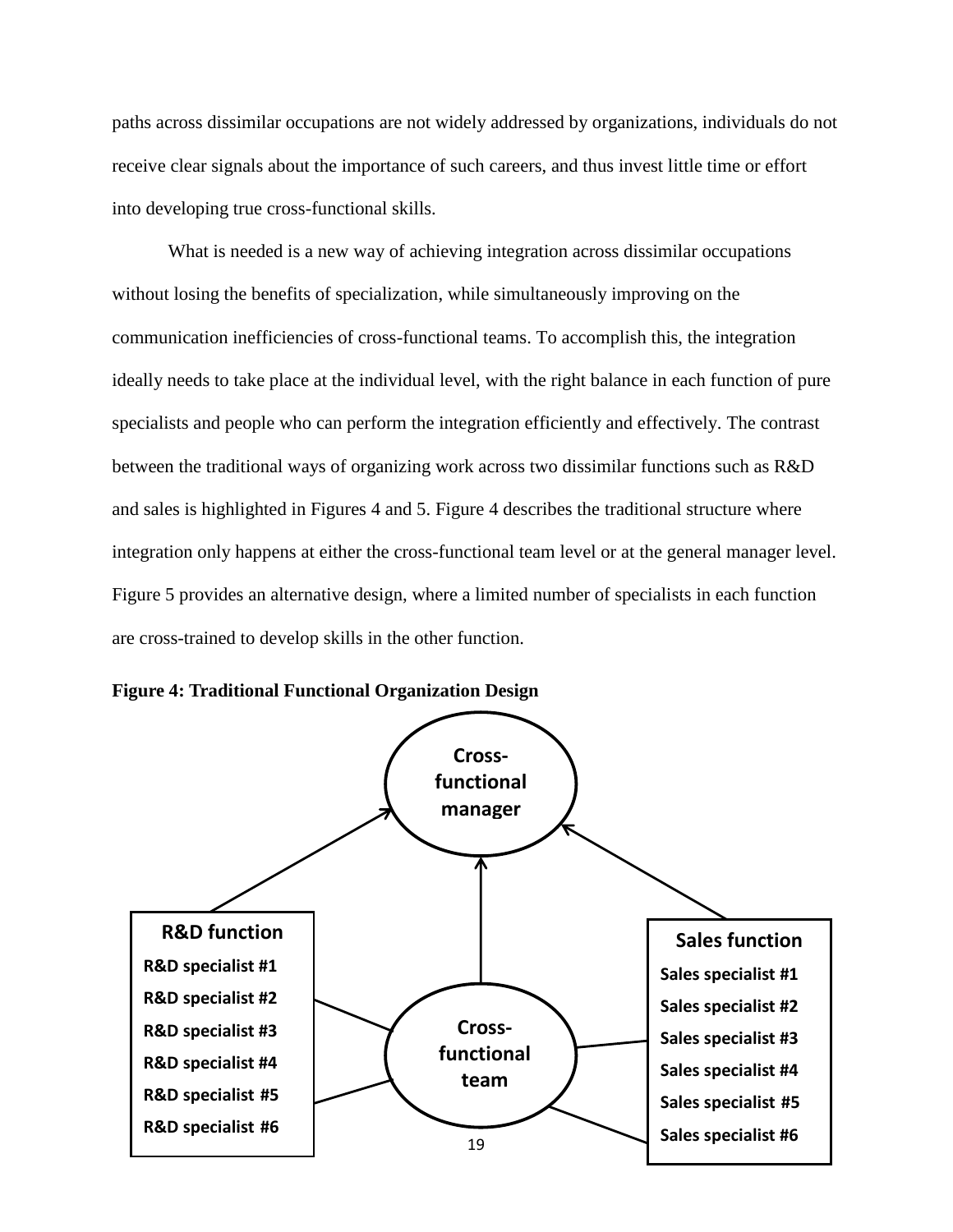paths across dissimilar occupations are not widely addressed by organizations, individuals do not receive clear signals about the importance of such careers, and thus invest little time or effort into developing true cross-functional skills.

What is needed is a new way of achieving integration across dissimilar occupations without losing the benefits of specialization, while simultaneously improving on the communication inefficiencies of cross-functional teams. To accomplish this, the integration ideally needs to take place at the individual level, with the right balance in each function of pure specialists and people who can perform the integration efficiently and effectively. The contrast between the traditional ways of organizing work across two dissimilar functions such as R&D and sales is highlighted in Figures 4 and 5. Figure 4 describes the traditional structure where integration only happens at either the cross-functional team level or at the general manager level. Figure 5 provides an alternative design, where a limited number of specialists in each function are cross-trained to develop skills in the other function.



**Figure 4: Traditional Functional Organization Design**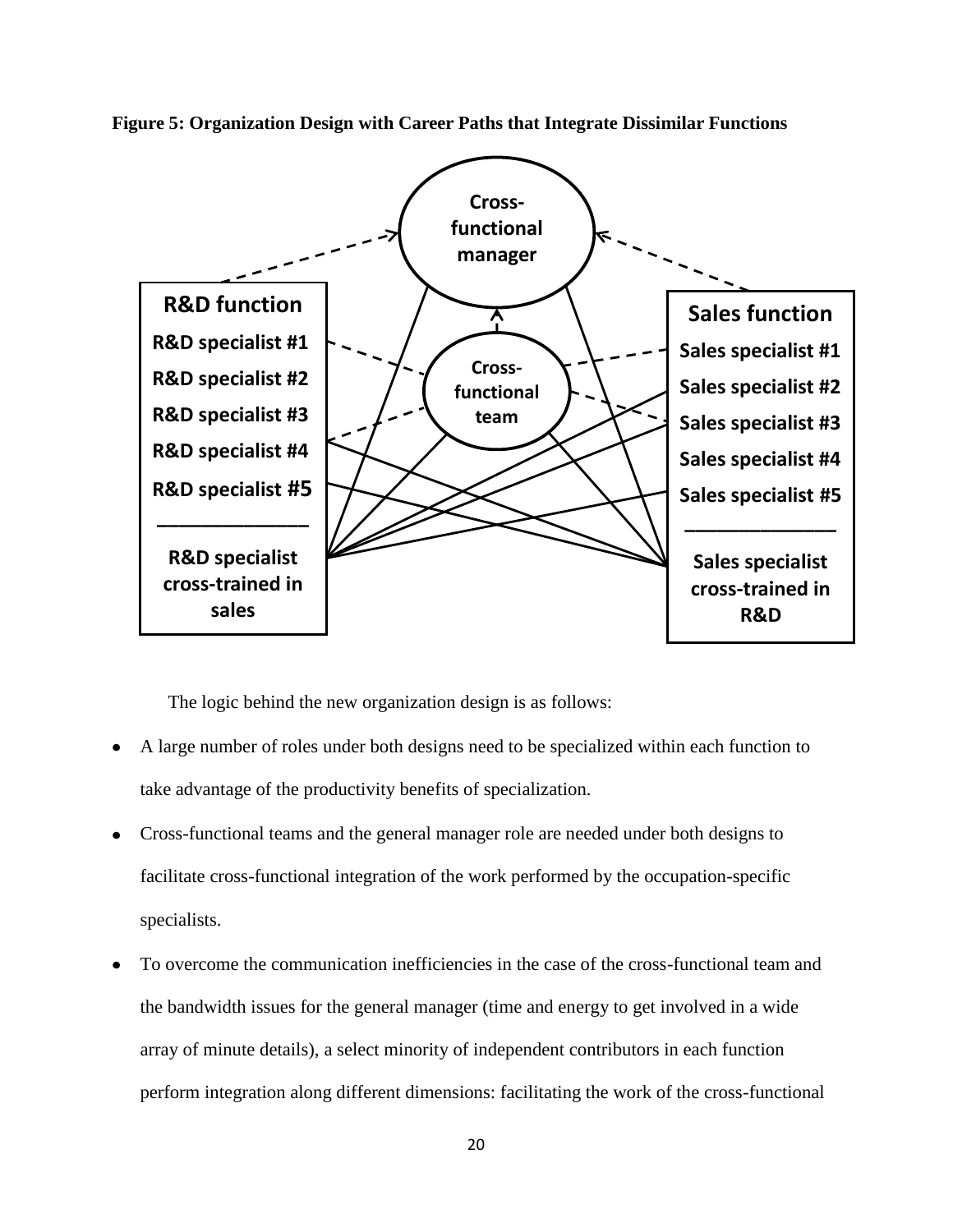**Figure 5: Organization Design with Career Paths that Integrate Dissimilar Functions**



The logic behind the new organization design is as follows:

- A large number of roles under both designs need to be specialized within each function to take advantage of the productivity benefits of specialization.
- Cross-functional teams and the general manager role are needed under both designs to facilitate cross-functional integration of the work performed by the occupation-specific specialists.
- To overcome the communication inefficiencies in the case of the cross-functional team and the bandwidth issues for the general manager (time and energy to get involved in a wide array of minute details), a select minority of independent contributors in each function perform integration along different dimensions: facilitating the work of the cross-functional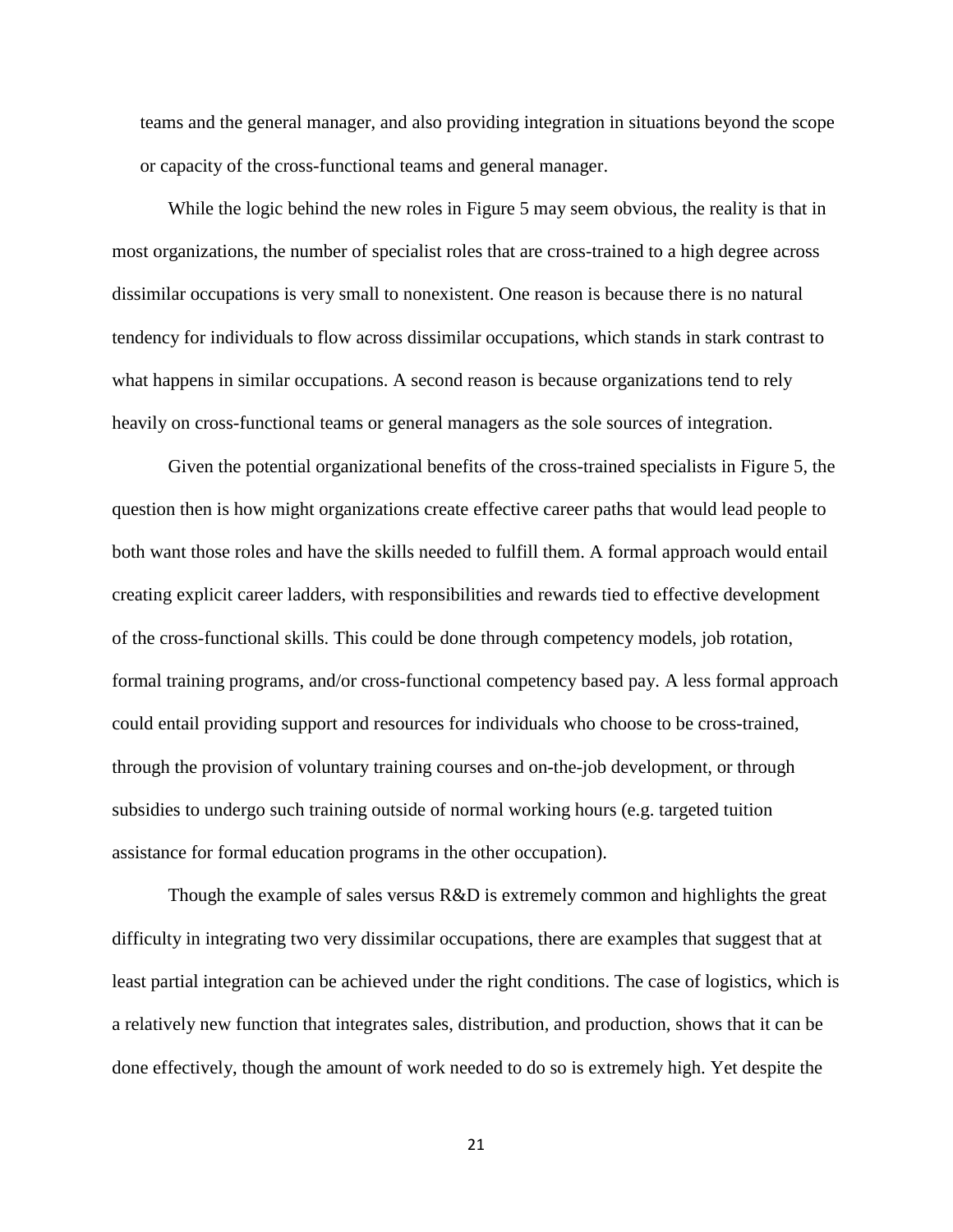teams and the general manager, and also providing integration in situations beyond the scope or capacity of the cross-functional teams and general manager.

While the logic behind the new roles in Figure 5 may seem obvious, the reality is that in most organizations, the number of specialist roles that are cross-trained to a high degree across dissimilar occupations is very small to nonexistent. One reason is because there is no natural tendency for individuals to flow across dissimilar occupations, which stands in stark contrast to what happens in similar occupations. A second reason is because organizations tend to rely heavily on cross-functional teams or general managers as the sole sources of integration.

Given the potential organizational benefits of the cross-trained specialists in Figure 5, the question then is how might organizations create effective career paths that would lead people to both want those roles and have the skills needed to fulfill them. A formal approach would entail creating explicit career ladders, with responsibilities and rewards tied to effective development of the cross-functional skills. This could be done through competency models, job rotation, formal training programs, and/or cross-functional competency based pay. A less formal approach could entail providing support and resources for individuals who choose to be cross-trained, through the provision of voluntary training courses and on-the-job development, or through subsidies to undergo such training outside of normal working hours (e.g. targeted tuition assistance for formal education programs in the other occupation).

Though the example of sales versus R&D is extremely common and highlights the great difficulty in integrating two very dissimilar occupations, there are examples that suggest that at least partial integration can be achieved under the right conditions. The case of logistics, which is a relatively new function that integrates sales, distribution, and production, shows that it can be done effectively, though the amount of work needed to do so is extremely high. Yet despite the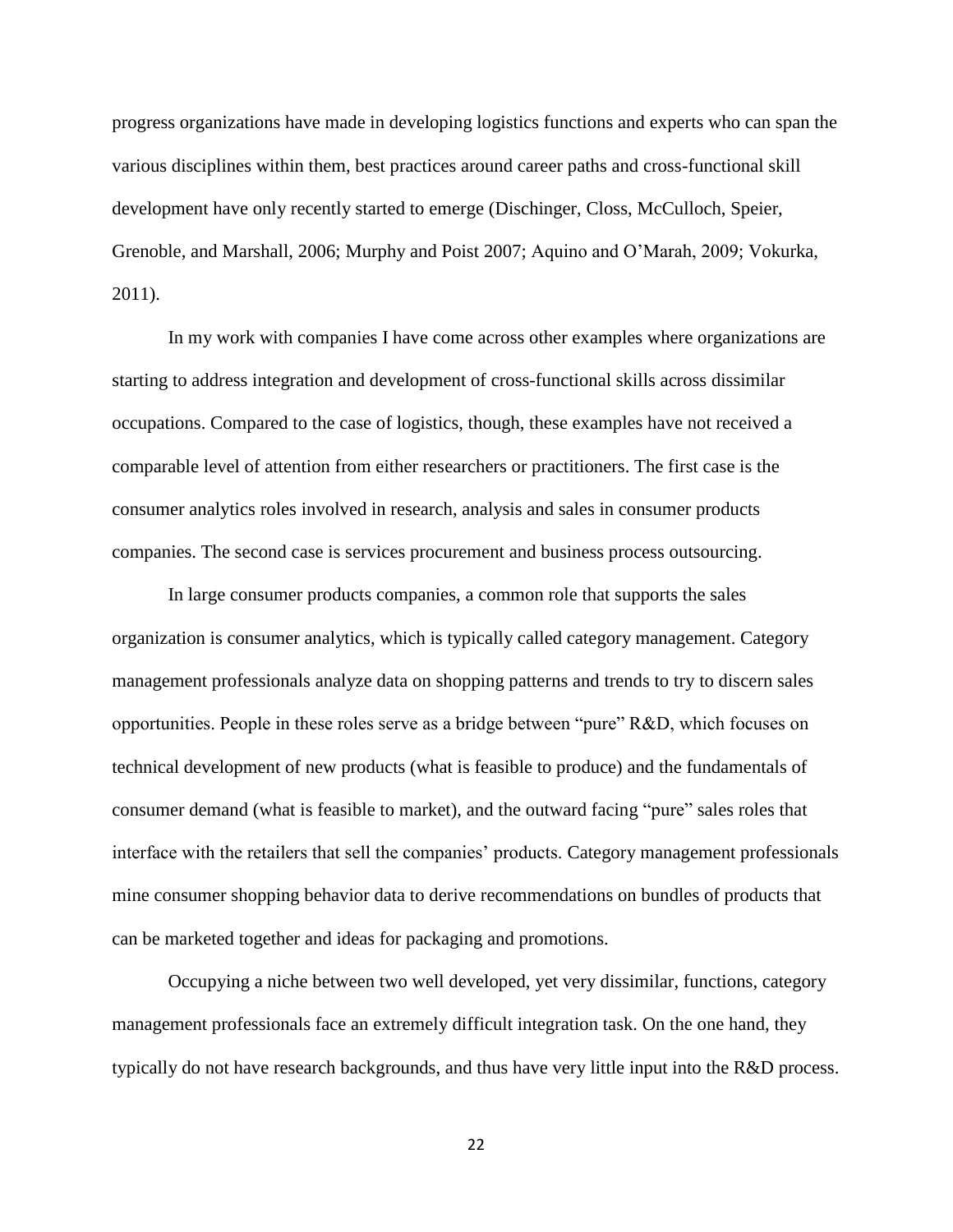progress organizations have made in developing logistics functions and experts who can span the various disciplines within them, best practices around career paths and cross-functional skill development have only recently started to emerge (Dischinger, Closs, McCulloch, Speier, Grenoble, and Marshall, 2006; Murphy and Poist 2007; Aquino and O'Marah, 2009; Vokurka, 2011).

In my work with companies I have come across other examples where organizations are starting to address integration and development of cross-functional skills across dissimilar occupations. Compared to the case of logistics, though, these examples have not received a comparable level of attention from either researchers or practitioners. The first case is the consumer analytics roles involved in research, analysis and sales in consumer products companies. The second case is services procurement and business process outsourcing.

In large consumer products companies, a common role that supports the sales organization is consumer analytics, which is typically called category management. Category management professionals analyze data on shopping patterns and trends to try to discern sales opportunities. People in these roles serve as a bridge between "pure" R&D, which focuses on technical development of new products (what is feasible to produce) and the fundamentals of consumer demand (what is feasible to market), and the outward facing "pure" sales roles that interface with the retailers that sell the companies' products. Category management professionals mine consumer shopping behavior data to derive recommendations on bundles of products that can be marketed together and ideas for packaging and promotions.

Occupying a niche between two well developed, yet very dissimilar, functions, category management professionals face an extremely difficult integration task. On the one hand, they typically do not have research backgrounds, and thus have very little input into the R&D process.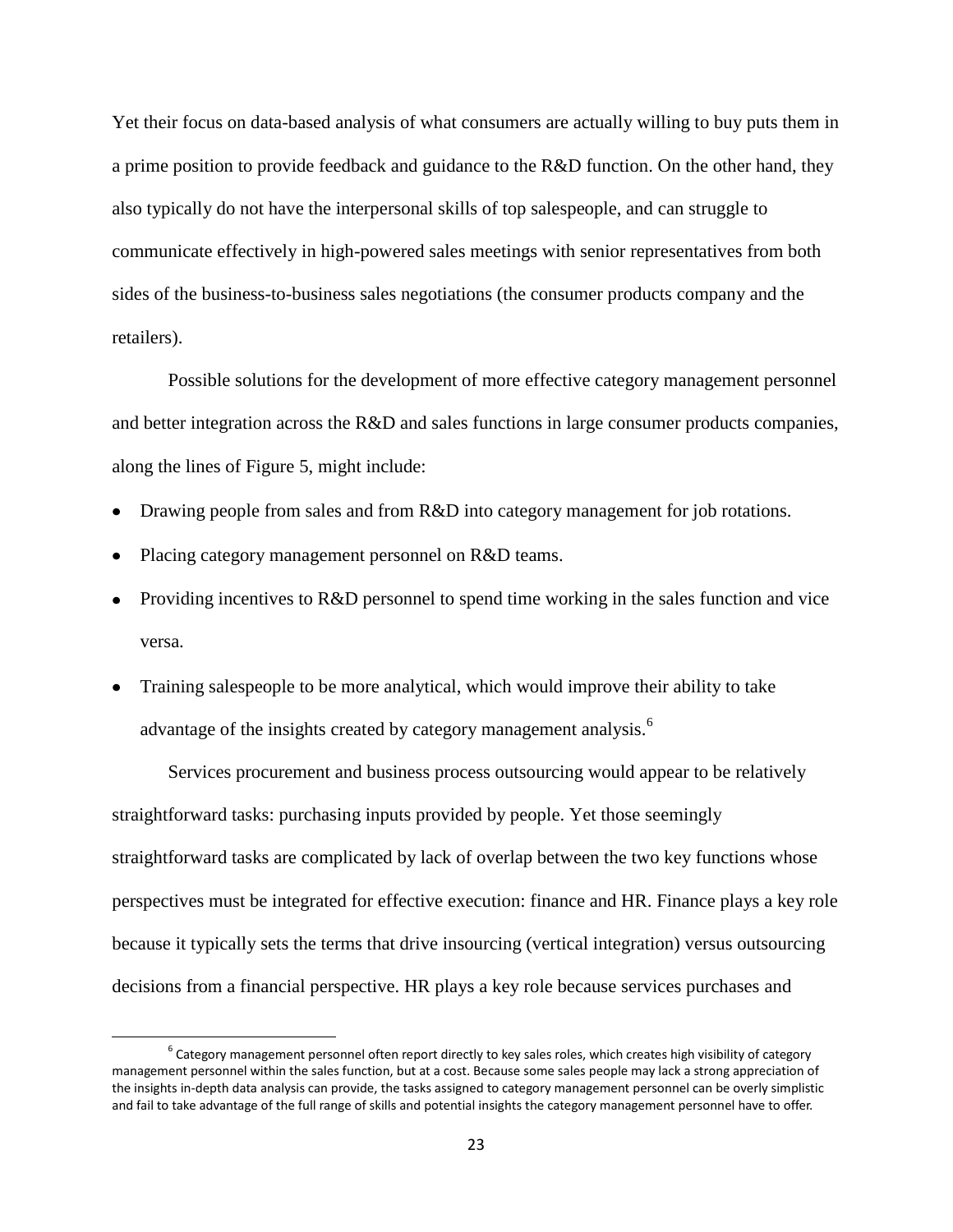Yet their focus on data-based analysis of what consumers are actually willing to buy puts them in a prime position to provide feedback and guidance to the R&D function. On the other hand, they also typically do not have the interpersonal skills of top salespeople, and can struggle to communicate effectively in high-powered sales meetings with senior representatives from both sides of the business-to-business sales negotiations (the consumer products company and the retailers).

Possible solutions for the development of more effective category management personnel and better integration across the R&D and sales functions in large consumer products companies, along the lines of Figure 5, might include:

- Drawing people from sales and from R&D into category management for job rotations.
- Placing category management personnel on R&D teams.

 $\overline{\phantom{a}}$ 

- Providing incentives to R&D personnel to spend time working in the sales function and vice versa.
- Training salespeople to be more analytical, which would improve their ability to take advantage of the insights created by category management analysis.<sup>6</sup>

Services procurement and business process outsourcing would appear to be relatively straightforward tasks: purchasing inputs provided by people. Yet those seemingly straightforward tasks are complicated by lack of overlap between the two key functions whose perspectives must be integrated for effective execution: finance and HR. Finance plays a key role because it typically sets the terms that drive insourcing (vertical integration) versus outsourcing decisions from a financial perspective. HR plays a key role because services purchases and

 $^6$  Category management personnel often report directly to key sales roles, which creates high visibility of category management personnel within the sales function, but at a cost. Because some sales people may lack a strong appreciation of the insights in-depth data analysis can provide, the tasks assigned to category management personnel can be overly simplistic and fail to take advantage of the full range of skills and potential insights the category management personnel have to offer.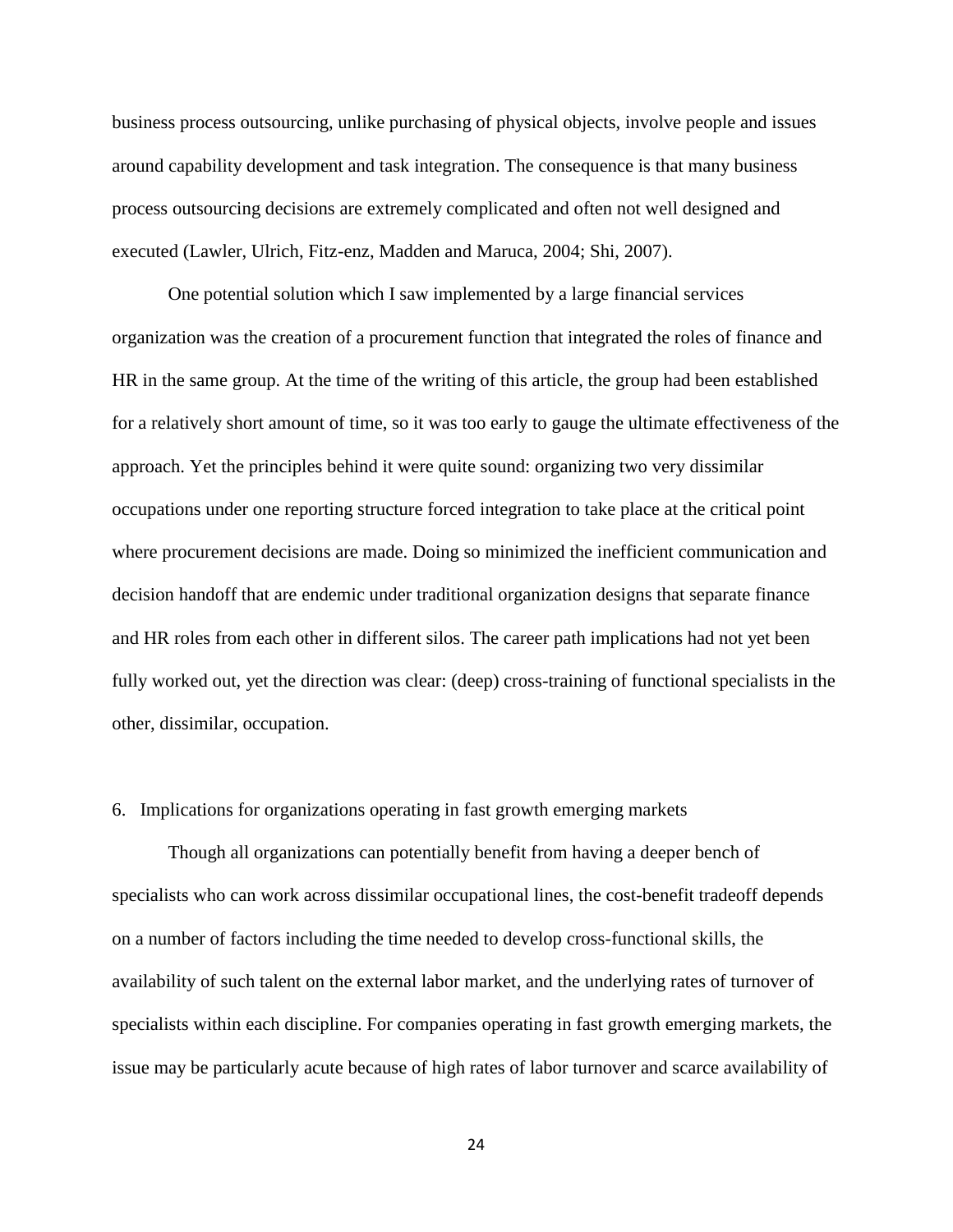business process outsourcing, unlike purchasing of physical objects, involve people and issues around capability development and task integration. The consequence is that many business process outsourcing decisions are extremely complicated and often not well designed and executed (Lawler, Ulrich, Fitz-enz, Madden and Maruca, 2004; Shi, 2007).

One potential solution which I saw implemented by a large financial services organization was the creation of a procurement function that integrated the roles of finance and HR in the same group. At the time of the writing of this article, the group had been established for a relatively short amount of time, so it was too early to gauge the ultimate effectiveness of the approach. Yet the principles behind it were quite sound: organizing two very dissimilar occupations under one reporting structure forced integration to take place at the critical point where procurement decisions are made. Doing so minimized the inefficient communication and decision handoff that are endemic under traditional organization designs that separate finance and HR roles from each other in different silos. The career path implications had not yet been fully worked out, yet the direction was clear: (deep) cross-training of functional specialists in the other, dissimilar, occupation.

#### 6. Implications for organizations operating in fast growth emerging markets

Though all organizations can potentially benefit from having a deeper bench of specialists who can work across dissimilar occupational lines, the cost-benefit tradeoff depends on a number of factors including the time needed to develop cross-functional skills, the availability of such talent on the external labor market, and the underlying rates of turnover of specialists within each discipline. For companies operating in fast growth emerging markets, the issue may be particularly acute because of high rates of labor turnover and scarce availability of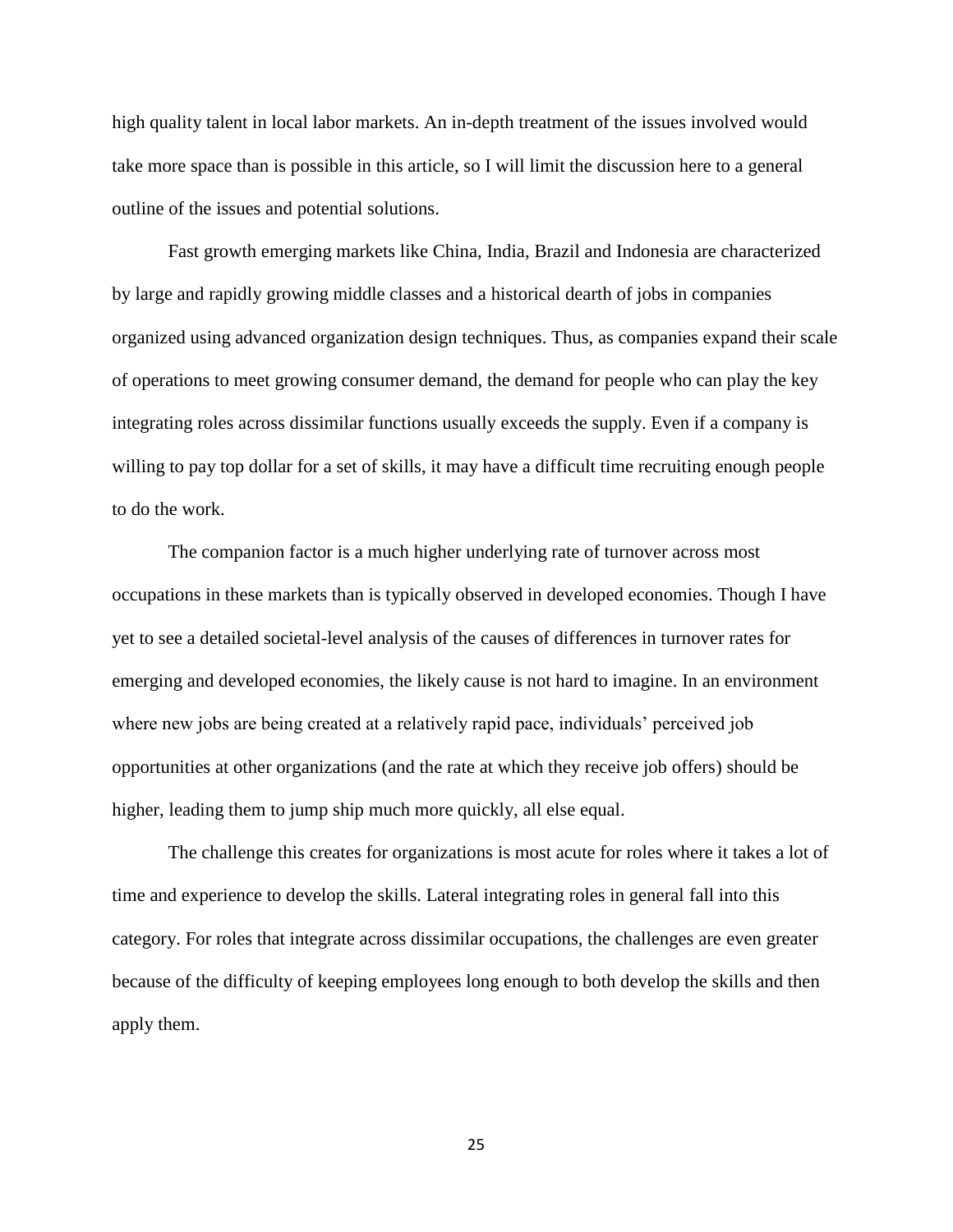high quality talent in local labor markets. An in-depth treatment of the issues involved would take more space than is possible in this article, so I will limit the discussion here to a general outline of the issues and potential solutions.

Fast growth emerging markets like China, India, Brazil and Indonesia are characterized by large and rapidly growing middle classes and a historical dearth of jobs in companies organized using advanced organization design techniques. Thus, as companies expand their scale of operations to meet growing consumer demand, the demand for people who can play the key integrating roles across dissimilar functions usually exceeds the supply. Even if a company is willing to pay top dollar for a set of skills, it may have a difficult time recruiting enough people to do the work.

The companion factor is a much higher underlying rate of turnover across most occupations in these markets than is typically observed in developed economies. Though I have yet to see a detailed societal-level analysis of the causes of differences in turnover rates for emerging and developed economies, the likely cause is not hard to imagine. In an environment where new jobs are being created at a relatively rapid pace, individuals' perceived job opportunities at other organizations (and the rate at which they receive job offers) should be higher, leading them to jump ship much more quickly, all else equal.

The challenge this creates for organizations is most acute for roles where it takes a lot of time and experience to develop the skills. Lateral integrating roles in general fall into this category. For roles that integrate across dissimilar occupations, the challenges are even greater because of the difficulty of keeping employees long enough to both develop the skills and then apply them.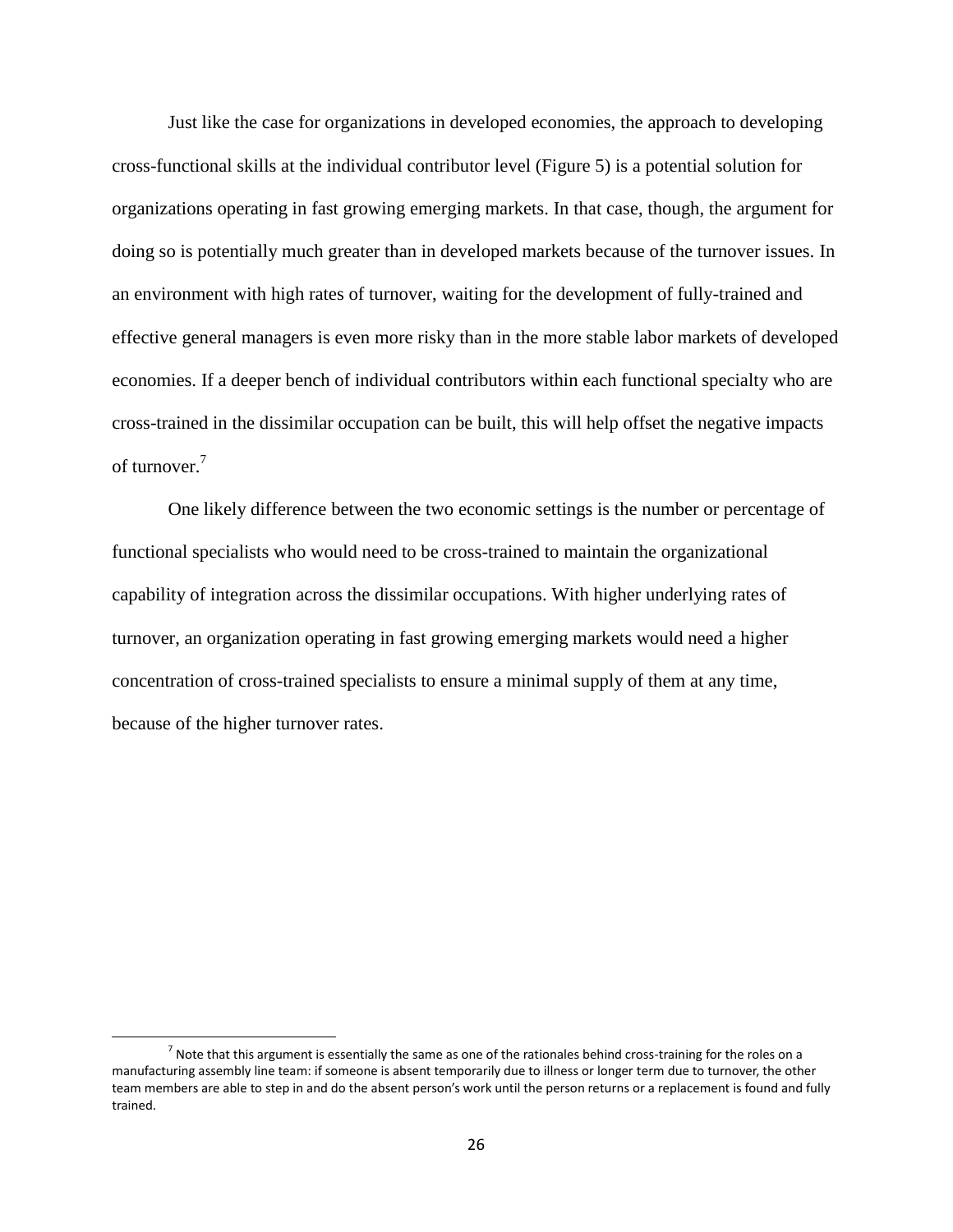Just like the case for organizations in developed economies, the approach to developing cross-functional skills at the individual contributor level (Figure 5) is a potential solution for organizations operating in fast growing emerging markets. In that case, though, the argument for doing so is potentially much greater than in developed markets because of the turnover issues. In an environment with high rates of turnover, waiting for the development of fully-trained and effective general managers is even more risky than in the more stable labor markets of developed economies. If a deeper bench of individual contributors within each functional specialty who are cross-trained in the dissimilar occupation can be built, this will help offset the negative impacts of turnover<sup>7</sup>

One likely difference between the two economic settings is the number or percentage of functional specialists who would need to be cross-trained to maintain the organizational capability of integration across the dissimilar occupations. With higher underlying rates of turnover, an organization operating in fast growing emerging markets would need a higher concentration of cross-trained specialists to ensure a minimal supply of them at any time, because of the higher turnover rates.

 $\overline{\phantom{a}}$ 

 $^7$  Note that this argument is essentially the same as one of the rationales behind cross-training for the roles on a manufacturing assembly line team: if someone is absent temporarily due to illness or longer term due to turnover, the other team members are able to step in and do the absent person's work until the person returns or a replacement is found and fully trained.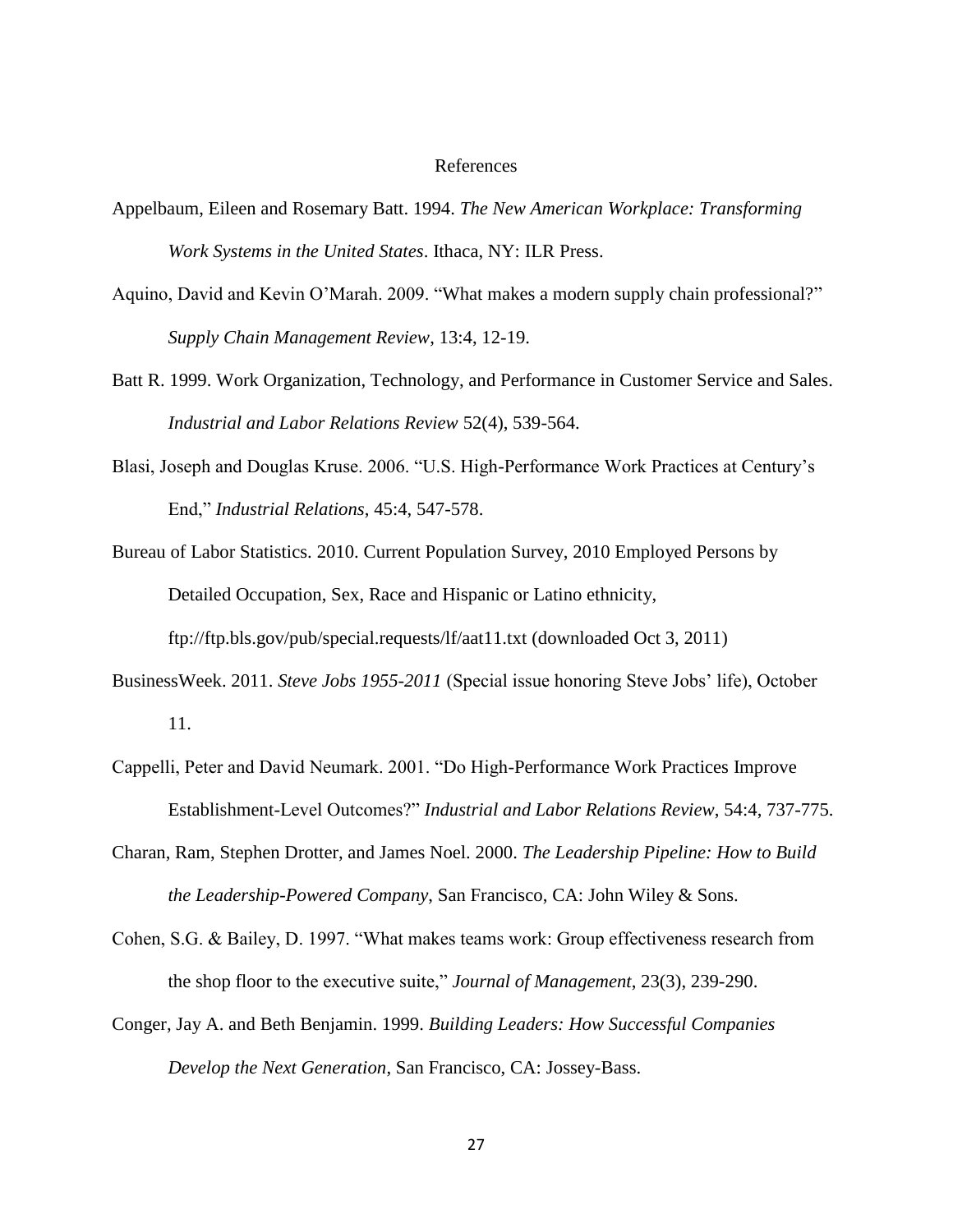# References

- Appelbaum, Eileen and Rosemary Batt. 1994. *The New American Workplace: Transforming Work Systems in the United States*. Ithaca, NY: ILR Press.
- Aquino, David and Kevin O'Marah. 2009. "What makes a modern supply chain professional?" *Supply Chain Management Review*, 13:4, 12-19.
- Batt R. 1999. Work Organization, Technology, and Performance in Customer Service and Sales. *Industrial and Labor Relations Review* 52(4), 539-564.
- Blasi, Joseph and Douglas Kruse. 2006. "U.S. High-Performance Work Practices at Century's End," *Industrial Relations*, 45:4, 547-578.
- Bureau of Labor Statistics. 2010. Current Population Survey, 2010 Employed Persons by Detailed Occupation, Sex, Race and Hispanic or Latino ethnicity, ftp://ftp.bls.gov/pub/special.requests/lf/aat11.txt (downloaded Oct 3, 2011)
- BusinessWeek. 2011. *Steve Jobs 1955-2011* (Special issue honoring Steve Jobs' life), October 11.
- Cappelli, Peter and David Neumark. 2001. "Do High-Performance Work Practices Improve Establishment-Level Outcomes?" *Industrial and Labor Relations Review*, 54:4, 737-775.
- Charan, Ram, Stephen Drotter, and James Noel. 2000. *The Leadership Pipeline: How to Build the Leadership-Powered Company*, San Francisco, CA: John Wiley & Sons.
- Cohen, S.G. & Bailey, D. 1997. "What makes teams work: Group effectiveness research from the shop floor to the executive suite," *Journal of Management*, 23(3), 239-290.
- Conger, Jay A. and Beth Benjamin. 1999. *Building Leaders: How Successful Companies Develop the Next Generation*, San Francisco, CA: Jossey-Bass.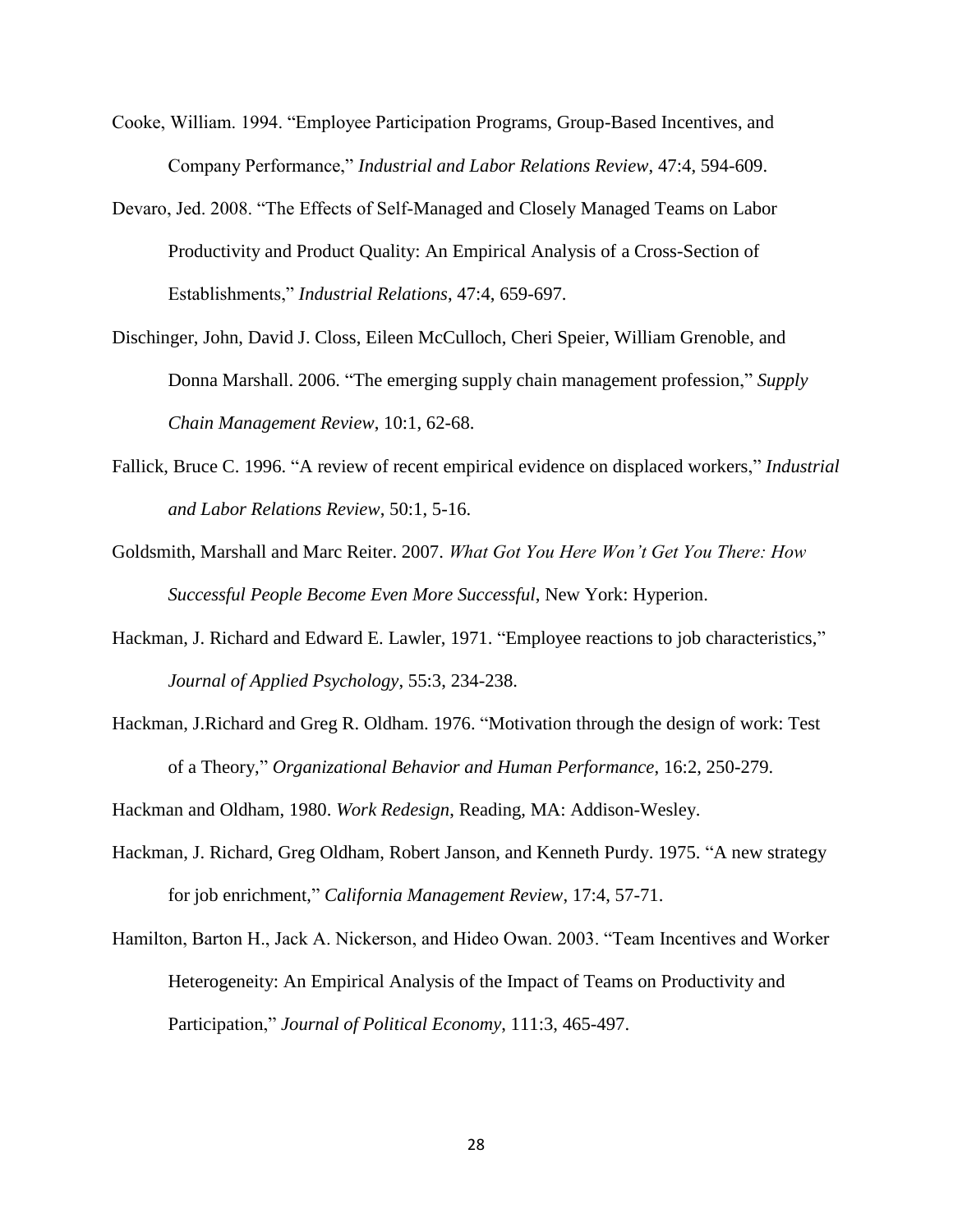- Cooke, William. 1994. "Employee Participation Programs, Group-Based Incentives, and Company Performance," *Industrial and Labor Relations Review*, 47:4, 594-609.
- Devaro, Jed. 2008. "The Effects of Self-Managed and Closely Managed Teams on Labor Productivity and Product Quality: An Empirical Analysis of a Cross-Section of Establishments," *Industrial Relations*, 47:4, 659-697.
- Dischinger, John, David J. Closs, Eileen McCulloch, Cheri Speier, William Grenoble, and Donna Marshall. 2006. "The emerging supply chain management profession," *Supply Chain Management Review*, 10:1, 62-68.
- Fallick, Bruce C. 1996. "A review of recent empirical evidence on displaced workers," *Industrial and Labor Relations Review*, 50:1, 5-16.
- Goldsmith, Marshall and Marc Reiter. 2007. *What Got You Here Won't Get You There: How Successful People Become Even More Successful*, New York: Hyperion.
- Hackman, J. Richard and Edward E. Lawler, 1971. "Employee reactions to job characteristics," *Journal of Applied Psychology*, 55:3, 234-238.
- Hackman, J.Richard and Greg R. Oldham. 1976. "Motivation through the design of work: Test of a Theory," *Organizational Behavior and Human Performance*, 16:2, 250-279.
- Hackman and Oldham, 1980. *Work Redesign*, Reading, MA: Addison-Wesley.
- Hackman, J. Richard, Greg Oldham, Robert Janson, and Kenneth Purdy. 1975. "A new strategy for job enrichment," *California Management Review*, 17:4, 57-71.
- Hamilton, Barton H., Jack A. Nickerson, and Hideo Owan. 2003. "Team Incentives and Worker Heterogeneity: An Empirical Analysis of the Impact of Teams on Productivity and Participation," *Journal of Political Economy*, 111:3, 465-497.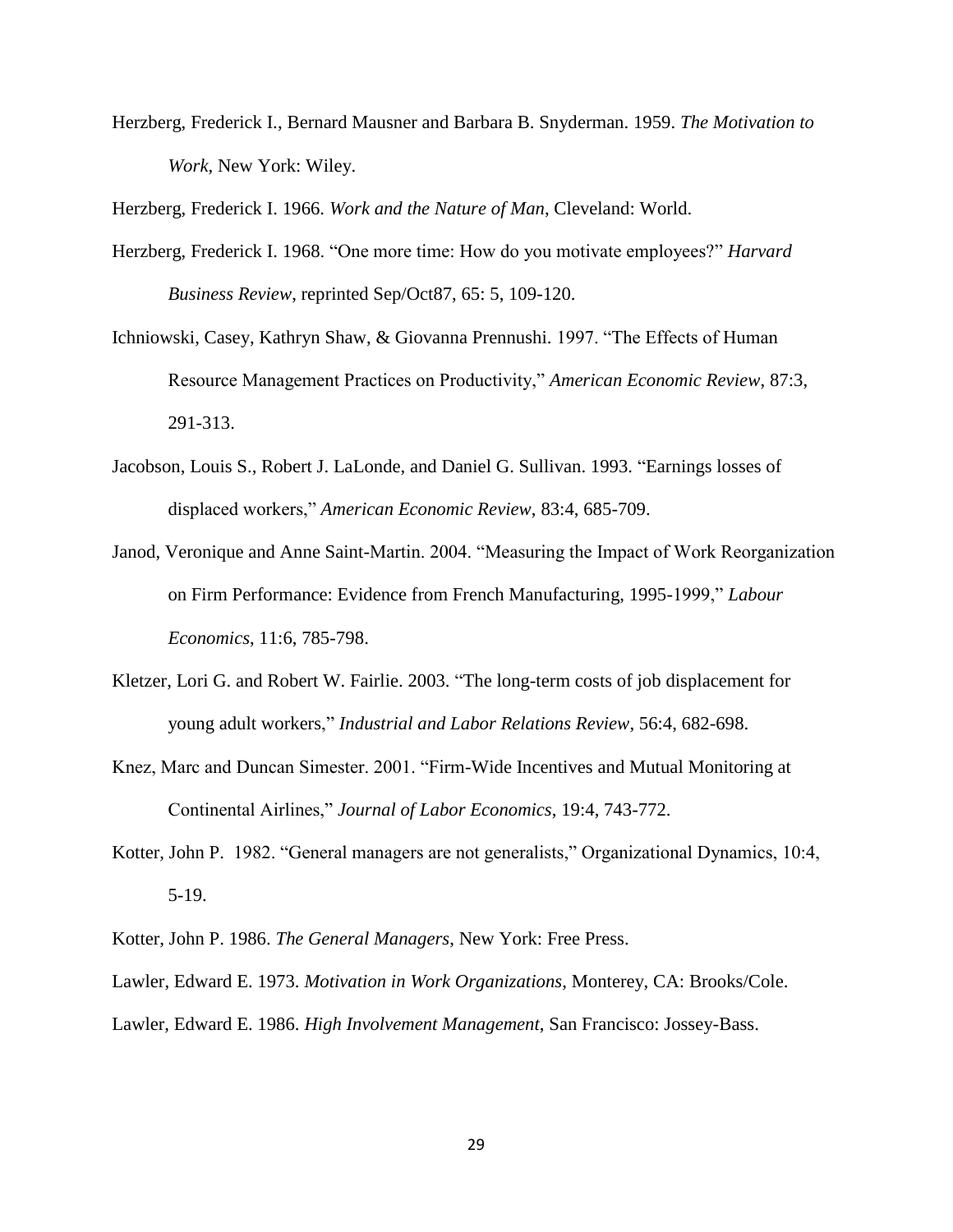Herzberg, Frederick I., Bernard Mausner and Barbara B. Snyderman. 1959. *The Motivation to Work*, New York: Wiley.

Herzberg, Frederick I. 1966. *Work and the Nature of Man*, Cleveland: World.

- Herzberg, Frederick I. 1968. "One more time: How do you motivate employees?" *Harvard Business Review*, reprinted Sep/Oct87, 65: 5, 109-120.
- Ichniowski, Casey, Kathryn Shaw, & Giovanna Prennushi. 1997. "The Effects of Human Resource Management Practices on Productivity," *American Economic Review*, 87:3, 291-313.
- Jacobson, Louis S., Robert J. LaLonde, and Daniel G. Sullivan. 1993. "Earnings losses of displaced workers," *American Economic Review*, 83:4, 685-709.
- Janod, Veronique and Anne Saint-Martin. 2004. "Measuring the Impact of Work Reorganization on Firm Performance: Evidence from French Manufacturing, 1995-1999," *Labour Economics*, 11:6, 785-798.
- Kletzer, Lori G. and Robert W. Fairlie. 2003. "The long-term costs of job displacement for young adult workers," *Industrial and Labor Relations Review*, 56:4, 682-698.
- Knez, Marc and Duncan Simester. 2001. "Firm-Wide Incentives and Mutual Monitoring at Continental Airlines," *Journal of Labor Economics*, 19:4, 743-772.
- Kotter, John P. 1982. "General managers are not generalists," Organizational Dynamics, 10:4, 5-19.
- Kotter, John P. 1986. *The General Managers*, New York: Free Press.
- Lawler, Edward E. 1973. *Motivation in Work Organizations*, Monterey, CA: Brooks/Cole.

Lawler, Edward E. 1986. *High Involvement Management*, San Francisco: Jossey-Bass.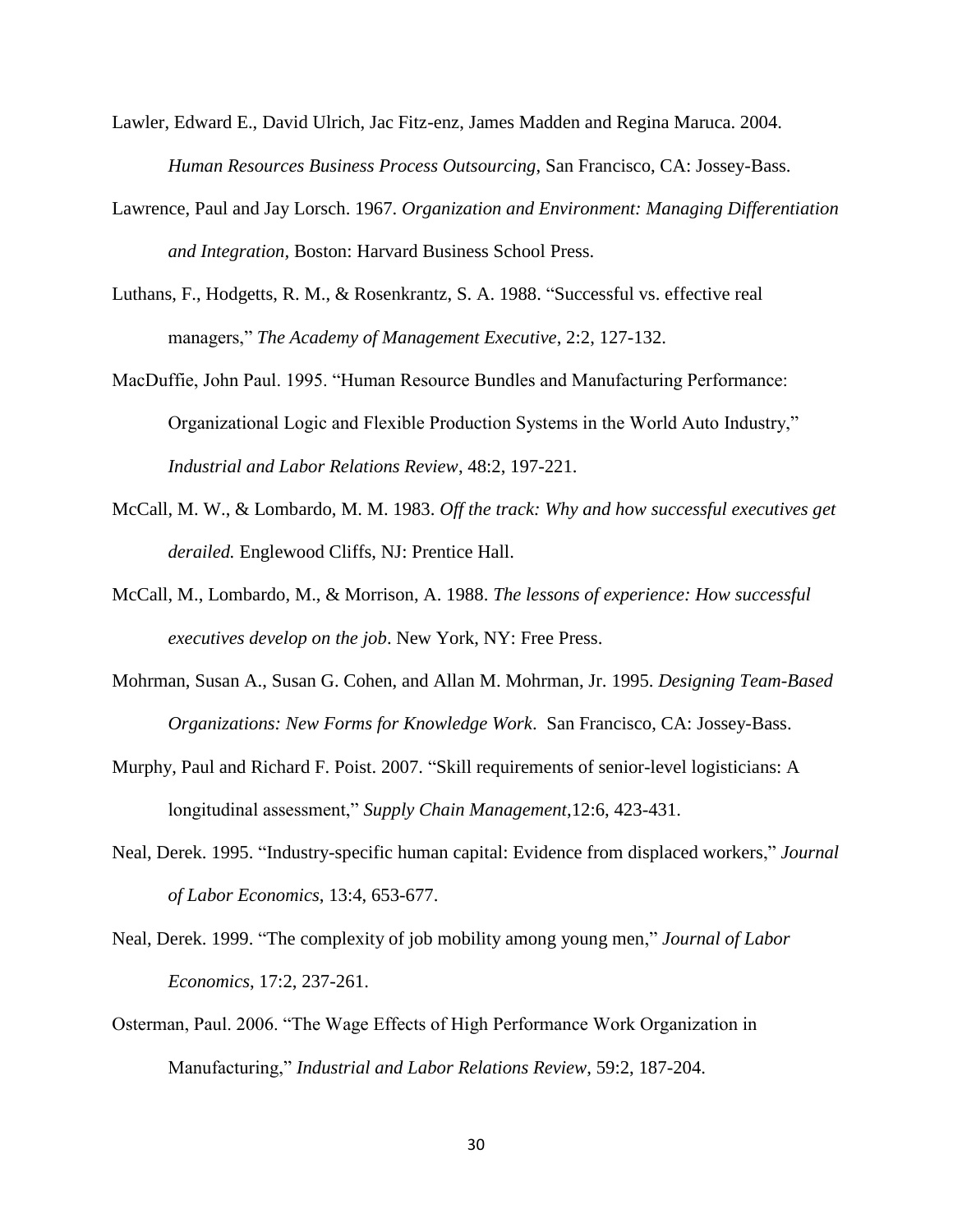- Lawler, Edward E., David Ulrich, Jac Fitz-enz, James Madden and Regina Maruca. 2004. *Human Resources Business Process Outsourcing*, San Francisco, CA: Jossey-Bass.
- Lawrence, Paul and Jay Lorsch. 1967. *Organization and Environment: Managing Differentiation and Integration,* Boston: Harvard Business School Press.
- Luthans, F., Hodgetts, R. M., & Rosenkrantz, S. A. 1988. "Successful vs. effective real managers," *The Academy of Management Executive*, 2:2, 127-132.
- MacDuffie, John Paul. 1995. "Human Resource Bundles and Manufacturing Performance: Organizational Logic and Flexible Production Systems in the World Auto Industry," *Industrial and Labor Relations Review*, 48:2, 197-221.
- McCall, M. W., & Lombardo, M. M. 1983. *Off the track: Why and how successful executives get derailed.* Englewood Cliffs, NJ: Prentice Hall.
- McCall, M., Lombardo, M., & Morrison, A. 1988. *The lessons of experience: How successful executives develop on the job*. New York, NY: Free Press.
- Mohrman, Susan A., Susan G. Cohen, and Allan M. Mohrman, Jr. 1995. *Designing Team-Based Organizations: New Forms for Knowledge Work*. San Francisco, CA: Jossey-Bass.
- Murphy, Paul and Richard F. Poist. 2007. "Skill requirements of senior-level logisticians: A longitudinal assessment," *Supply Chain Management*,12:6, 423-431.
- Neal, Derek. 1995. "Industry-specific human capital: Evidence from displaced workers," *Journal of Labor Economics*, 13:4, 653-677.
- Neal, Derek. 1999. "The complexity of job mobility among young men," *Journal of Labor Economics*, 17:2, 237-261.
- Osterman, Paul. 2006. "The Wage Effects of High Performance Work Organization in Manufacturing," *Industrial and Labor Relations Review*, 59:2, 187-204.